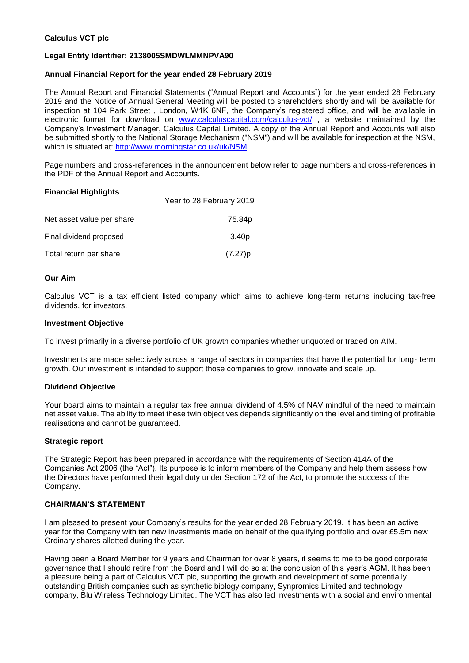#### **Calculus VCT plc**

#### **Legal Entity Identifier: 2138005SMDWLMMNPVA90**

#### **Annual Financial Report for the year ended 28 February 2019**

The Annual Report and Financial Statements ("Annual Report and Accounts") for the year ended 28 February 2019 and the Notice of Annual General Meeting will be posted to shareholders shortly and will be available for inspection at 104 Park Street , London, W1K 6NF, the Company's registered office, and will be available in electronic format for download on [www.calculuscapital.com/calculus-vct/](http://www.calculuscapital.com/calculus-vct/), a website maintained by the Company's Investment Manager, Calculus Capital Limited. A copy of the Annual Report and Accounts will also be submitted shortly to the National Storage Mechanism ("NSM") and will be available for inspection at the NSM, which is situated at: [http://www.morningstar.co.uk/uk/NSM.](http://www.morningstar.co.uk/uk/NSM)

Page numbers and cross-references in the announcement below refer to page numbers and cross-references in the PDF of the Annual Report and Accounts.

#### **Financial Highlights**

|                           | Year to 28 February 2019 |
|---------------------------|--------------------------|
| Net asset value per share | 75.84p                   |
| Final dividend proposed   | 3.40 <sub>p</sub>        |
| Total return per share    | (7.27)p                  |

#### **Our Aim**

Calculus VCT is a tax efficient listed company which aims to achieve long-term returns including tax-free dividends, for investors.

#### **Investment Objective**

To invest primarily in a diverse portfolio of UK growth companies whether unquoted or traded on AIM.

Investments are made selectively across a range of sectors in companies that have the potential for long- term growth. Our investment is intended to support those companies to grow, innovate and scale up.

#### **Dividend Objective**

Your board aims to maintain a regular tax free annual dividend of 4.5% of NAV mindful of the need to maintain net asset value. The ability to meet these twin objectives depends significantly on the level and timing of profitable realisations and cannot be guaranteed.

#### **Strategic report**

The Strategic Report has been prepared in accordance with the requirements of Section 414A of the Companies Act 2006 (the "Act"). Its purpose is to inform members of the Company and help them assess how the Directors have performed their legal duty under Section 172 of the Act, to promote the success of the Company.

#### **CHAIRMAN'S STATEMENT**

I am pleased to present your Company's results for the year ended 28 February 2019. It has been an active year for the Company with ten new investments made on behalf of the qualifying portfolio and over £5.5m new Ordinary shares allotted during the year.

Having been a Board Member for 9 years and Chairman for over 8 years, it seems to me to be good corporate governance that I should retire from the Board and I will do so at the conclusion of this year's AGM. It has been a pleasure being a part of Calculus VCT plc, supporting the growth and development of some potentially outstanding British companies such as synthetic biology company, Synpromics Limited and technology company, Blu Wireless Technology Limited. The VCT has also led investments with a social and environmental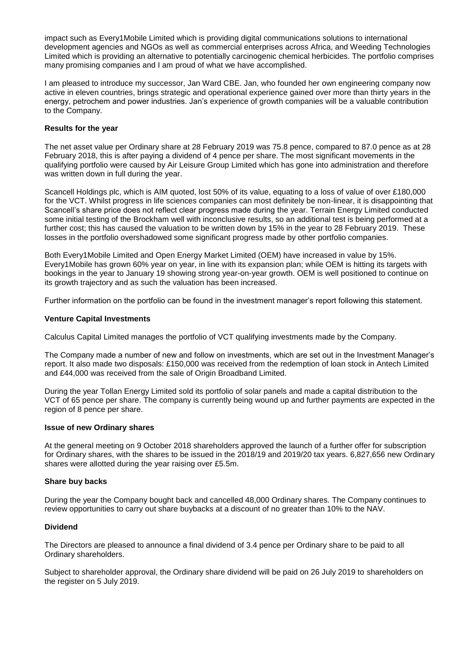impact such as Every1Mobile Limited which is providing digital communications solutions to international development agencies and NGOs as well as commercial enterprises across Africa, and Weeding Technologies Limited which is providing an alternative to potentially carcinogenic chemical herbicides. The portfolio comprises many promising companies and I am proud of what we have accomplished.

I am pleased to introduce my successor, Jan Ward CBE. Jan, who founded her own engineering company now active in eleven countries, brings strategic and operational experience gained over more than thirty years in the energy, petrochem and power industries. Jan's experience of growth companies will be a valuable contribution to the Company.

#### **Results for the year**

The net asset value per Ordinary share at 28 February 2019 was 75.8 pence, compared to 87.0 pence as at 28 February 2018, this is after paying a dividend of 4 pence per share. The most significant movements in the qualifying portfolio were caused by Air Leisure Group Limited which has gone into administration and therefore was written down in full during the year.

Scancell Holdings plc, which is AIM quoted, lost 50% of its value, equating to a loss of value of over £180,000 for the VCT. Whilst progress in life sciences companies can most definitely be non-linear, it is disappointing that Scancell's share price does not reflect clear progress made during the year. Terrain Energy Limited conducted some initial testing of the Brockham well with inconclusive results, so an additional test is being performed at a further cost; this has caused the valuation to be written down by 15% in the year to 28 February 2019. These losses in the portfolio overshadowed some significant progress made by other portfolio companies.

Both Every1Mobile Limited and Open Energy Market Limited (OEM) have increased in value by 15%. Every1Mobile has grown 60% year on year, in line with its expansion plan; while OEM is hitting its targets with bookings in the year to January 19 showing strong year-on-year growth. OEM is well positioned to continue on its growth trajectory and as such the valuation has been increased.

Further information on the portfolio can be found in the investment manager's report following this statement.

#### **Venture Capital Investments**

Calculus Capital Limited manages the portfolio of VCT qualifying investments made by the Company.

The Company made a number of new and follow on investments, which are set out in the Investment Manager's report. It also made two disposals: £150,000 was received from the redemption of loan stock in Antech Limited and £44,000 was received from the sale of Origin Broadband Limited.

During the year Tollan Energy Limited sold its portfolio of solar panels and made a capital distribution to the VCT of 65 pence per share. The company is currently being wound up and further payments are expected in the region of 8 pence per share.

#### **Issue of new Ordinary shares**

At the general meeting on 9 October 2018 shareholders approved the launch of a further offer for subscription for Ordinary shares, with the shares to be issued in the 2018/19 and 2019/20 tax years. 6,827,656 new Ordinary shares were allotted during the year raising over £5.5m.

#### **Share buy backs**

During the year the Company bought back and cancelled 48,000 Ordinary shares. The Company continues to review opportunities to carry out share buybacks at a discount of no greater than 10% to the NAV.

#### **Dividend**

The Directors are pleased to announce a final dividend of 3.4 pence per Ordinary share to be paid to all Ordinary shareholders.

Subject to shareholder approval, the Ordinary share dividend will be paid on 26 July 2019 to shareholders on the register on 5 July 2019.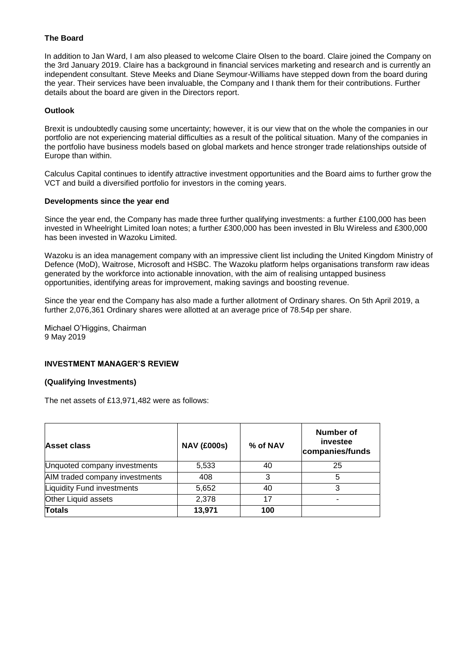#### **The Board**

In addition to Jan Ward, I am also pleased to welcome Claire Olsen to the board. Claire joined the Company on the 3rd January 2019. Claire has a background in financial services marketing and research and is currently an independent consultant. Steve Meeks and Diane Seymour-Williams have stepped down from the board during the year. Their services have been invaluable, the Company and I thank them for their contributions. Further details about the board are given in the Directors report.

#### **Outlook**

Brexit is undoubtedly causing some uncertainty; however, it is our view that on the whole the companies in our portfolio are not experiencing material difficulties as a result of the political situation. Many of the companies in the portfolio have business models based on global markets and hence stronger trade relationships outside of Europe than within.

Calculus Capital continues to identify attractive investment opportunities and the Board aims to further grow the VCT and build a diversified portfolio for investors in the coming years.

#### **Developments since the year end**

Since the year end, the Company has made three further qualifying investments: a further £100,000 has been invested in Wheelright Limited loan notes; a further £300,000 has been invested in Blu Wireless and £300,000 has been invested in Wazoku Limited.

Wazoku is an idea management company with an impressive client list including the United Kingdom Ministry of Defence (MoD), Waitrose, Microsoft and HSBC. The Wazoku platform helps organisations transform raw ideas generated by the workforce into actionable innovation, with the aim of realising untapped business opportunities, identifying areas for improvement, making savings and boosting revenue.

Since the year end the Company has also made a further allotment of Ordinary shares. On 5th April 2019, a further 2,076,361 Ordinary shares were allotted at an average price of 78.54p per share.

Michael O'Higgins, Chairman 9 May 2019

#### **INVESTMENT MANAGER'S REVIEW**

#### **(Qualifying Investments)**

The net assets of £13,971,482 were as follows:

| Asset class                       | <b>NAV (£000s)</b> | % of NAV | Number of<br>investee<br>companies/funds |
|-----------------------------------|--------------------|----------|------------------------------------------|
| Unquoted company investments      | 5,533              | 40       | 25                                       |
| AIM traded company investments    | 408                | 3        | 5                                        |
| <b>Liquidity Fund investments</b> | 5,652              | 40       |                                          |
| Other Liquid assets               | 2,378              | 17       |                                          |
| <b>Totals</b>                     | 13,971             | 100      |                                          |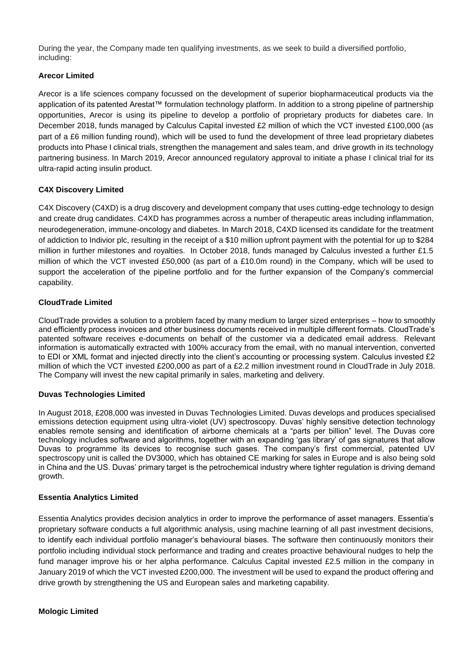During the year, the Company made ten qualifying investments, as we seek to build a diversified portfolio, including:

# **Arecor Limited**

Arecor is a life sciences company focussed on the development of superior biopharmaceutical products via the application of its patented Arestat™ formulation technology platform. In addition to a strong pipeline of partnership opportunities, Arecor is using its pipeline to develop a portfolio of proprietary products for diabetes care. In December 2018, funds managed by Calculus Capital invested £2 million of which the VCT invested £100,000 (as part of a £6 million funding round), which will be used to fund the development of three lead proprietary diabetes products into Phase I clinical trials, strengthen the management and sales team, and drive growth in its technology partnering business. In March 2019, Arecor announced regulatory approval to initiate a phase I clinical trial for its ultra-rapid acting insulin product.

# **C4X Discovery Limited**

C4X Discovery (C4XD) is a drug discovery and development company that uses cutting-edge technology to design and create drug candidates. C4XD has programmes across a number of therapeutic areas including inflammation, neurodegeneration, immune-oncology and diabetes. In March 2018, C4XD licensed its candidate for the treatment of addiction to Indivior plc, resulting in the receipt of a \$10 million upfront payment with the potential for up to \$284 million in further milestones and royalties. In October 2018, funds managed by Calculus invested a further £1.5 million of which the VCT invested £50,000 (as part of a £10.0m round) in the Company, which will be used to support the acceleration of the pipeline portfolio and for the further expansion of the Company's commercial capability.

# **CloudTrade Limited**

CloudTrade provides a solution to a problem faced by many medium to larger sized enterprises – how to smoothly and efficiently process invoices and other business documents received in multiple different formats. CloudTrade's patented software receives e-documents on behalf of the customer via a dedicated email address. Relevant information is automatically extracted with 100% accuracy from the email, with no manual intervention, converted to EDI or XML format and injected directly into the client's accounting or processing system. Calculus invested £2 million of which the VCT invested £200,000 as part of a £2.2 million investment round in CloudTrade in July 2018. The Company will invest the new capital primarily in sales, marketing and delivery.

## **Duvas Technologies Limited**

In August 2018, £208,000 was invested in Duvas Technologies Limited. Duvas develops and produces specialised emissions detection equipment using ultra-violet (UV) spectroscopy. Duvas' highly sensitive detection technology enables remote sensing and identification of airborne chemicals at a "parts per billion" level. The Duvas core technology includes software and algorithms, together with an expanding 'gas library' of gas signatures that allow Duvas to programme its devices to recognise such gases. The company's first commercial, patented UV spectroscopy unit is called the DV3000, which has obtained CE marking for sales in Europe and is also being sold in China and the US. Duvas' primary target is the petrochemical industry where tighter regulation is driving demand growth.

## **Essentia Analytics Limited**

Essentia Analytics provides decision analytics in order to improve the performance of asset managers. Essentia's proprietary software conducts a full algorithmic analysis, using machine learning of all past investment decisions, to identify each individual portfolio manager's behavioural biases. The software then continuously monitors their portfolio including individual stock performance and trading and creates proactive behavioural nudges to help the fund manager improve his or her alpha performance. Calculus Capital invested £2.5 million in the company in January 2019 of which the VCT invested £200,000. The investment will be used to expand the product offering and drive growth by strengthening the US and European sales and marketing capability.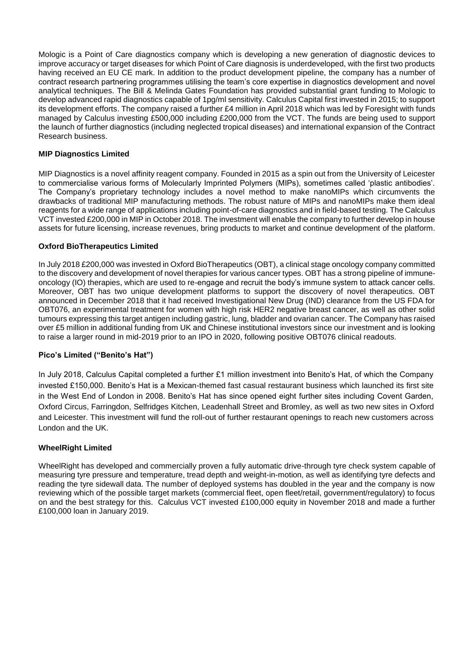Mologic is a Point of Care diagnostics company which is developing a new generation of diagnostic devices to improve accuracy or target diseases for which Point of Care diagnosis is underdeveloped, with the first two products having received an EU CE mark. In addition to the product development pipeline, the company has a number of contract research partnering programmes utilising the team's core expertise in diagnostics development and novel analytical techniques. The Bill & Melinda Gates Foundation has provided substantial grant funding to Mologic to develop advanced rapid diagnostics capable of 1pg/ml sensitivity. Calculus Capital first invested in 2015; to support its development efforts. The company raised a further £4 million in April 2018 which was led by Foresight with funds managed by Calculus investing £500,000 including £200,000 from the VCT. The funds are being used to support the launch of further diagnostics (including neglected tropical diseases) and international expansion of the Contract Research business.

## **MIP Diagnostics Limited**

MIP Diagnostics is a novel affinity reagent company. Founded in 2015 as a spin out from the University of Leicester to commercialise various forms of Molecularly Imprinted Polymers (MIPs), sometimes called 'plastic antibodies'. The Company's proprietary technology includes a novel method to make nanoMIPs which circumvents the drawbacks of traditional MIP manufacturing methods. The robust nature of MIPs and nanoMIPs make them ideal reagents for a wide range of applications including point-of-care diagnostics and in field-based testing. The Calculus VCT invested £200,000 in MIP in October 2018. The investment will enable the company to further develop in house assets for future licensing, increase revenues, bring products to market and continue development of the platform.

# **Oxford BioTherapeutics Limited**

In July 2018 £200,000 was invested in Oxford BioTherapeutics (OBT), a clinical stage oncology company committed to the discovery and development of novel therapies for various cancer types. OBT has a strong pipeline of immuneoncology (IO) therapies, which are used to re-engage and recruit the body's immune system to attack cancer cells. Moreover, OBT has two unique development platforms to support the discovery of novel therapeutics. OBT announced in December 2018 that it had received Investigational New Drug (IND) clearance from the US FDA for OBT076, an experimental treatment for women with high risk HER2 negative breast cancer, as well as other solid tumours expressing this target antigen including gastric, lung, bladder and ovarian cancer. The Company has raised over £5 million in additional funding from UK and Chinese institutional investors since our investment and is looking to raise a larger round in mid-2019 prior to an IPO in 2020, following positive OBT076 clinical readouts.

## **Pico's Limited ("Benito's Hat")**

In July 2018, Calculus Capital completed a further £1 million investment into Benito's Hat, of which the Company invested £150,000. Benito's Hat is a Mexican-themed fast casual restaurant business which launched its first site in the West End of London in 2008. Benito's Hat has since opened eight further sites including Covent Garden, Oxford Circus, Farringdon, Selfridges Kitchen, Leadenhall Street and Bromley, as well as two new sites in Oxford and Leicester. This investment will fund the roll-out of further restaurant openings to reach new customers across London and the UK.

## **WheelRight Limited**

WheelRight has developed and commercially proven a fully automatic drive-through tyre check system capable of measuring tyre pressure and temperature, tread depth and weight-in-motion, as well as identifying tyre defects and reading the tyre sidewall data. The number of deployed systems has doubled in the year and the company is now reviewing which of the possible target markets (commercial fleet, open fleet/retail, government/regulatory) to focus on and the best strategy for this. Calculus VCT invested £100,000 equity in November 2018 and made a further £100,000 loan in January 2019.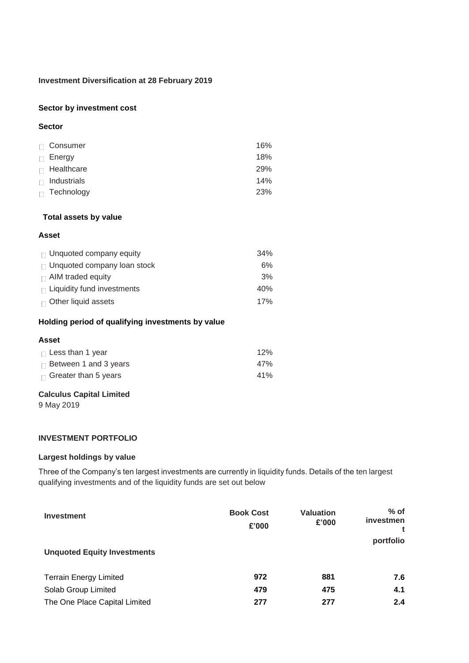#### **Investment Diversification at 28 February 2019**

#### **Sector by investment cost**

#### **Sector**

| Consumer          | 16% |
|-------------------|-----|
| $\Box$ Energy     | 18% |
| $\Box$ Healthcare | 29% |
| Industrials       | 14% |
| Technology        | 23% |

#### **Total assets by value**

#### **Asset**

| $\Box$ Unquoted company equity     | 34% |
|------------------------------------|-----|
| $\Box$ Unquoted company loan stock | 6%  |
| $\Box$ AIM traded equity           | 3%  |
| $\Box$ Liquidity fund investments  | 40% |
| $\Box$ Other liquid assets         | 17% |

#### **Holding period of qualifying investments by value**

#### **Asset**

| $\Box$ Less than 1 year      | 12% |
|------------------------------|-----|
| $\Box$ Between 1 and 3 years | 47% |
| $\Box$ Greater than 5 years  | 41% |

## **Calculus Capital Limited**

9 May 2019

## **INVESTMENT PORTFOLIO**

# **Largest holdings by value**

Three of the Company's ten largest investments are currently in liquidity funds. Details of the ten largest qualifying investments and of the liquidity funds are set out below

| <b>Investment</b><br><b>Unquoted Equity Investments</b> | <b>Book Cost</b><br>£'000 | <b>Valuation</b><br>£'000 | $%$ of<br>investmen<br>portfolio |
|---------------------------------------------------------|---------------------------|---------------------------|----------------------------------|
| <b>Terrain Energy Limited</b>                           | 972                       | 881                       | 7.6                              |
| Solab Group Limited                                     | 479                       | 475                       | 4.1                              |
| The One Place Capital Limited                           | 277                       | 277                       | 2.4                              |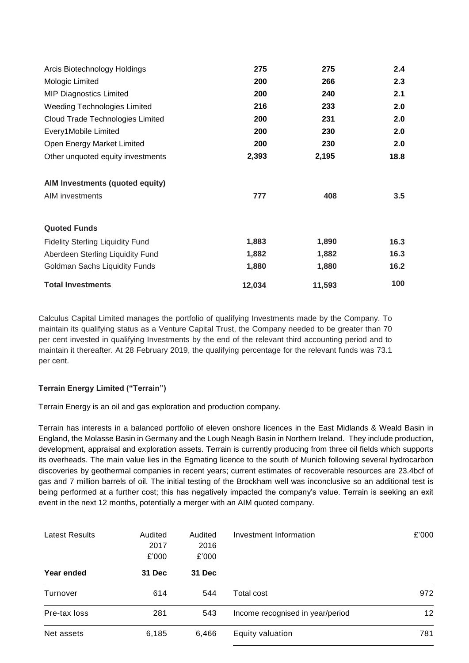| Arcis Biotechnology Holdings            | 275    | 275    | 2.4  |
|-----------------------------------------|--------|--------|------|
| Mologic Limited                         | 200    | 266    | 2.3  |
| <b>MIP Diagnostics Limited</b>          | 200    | 240    | 2.1  |
| <b>Weeding Technologies Limited</b>     | 216    | 233    | 2.0  |
| Cloud Trade Technologies Limited        | 200    | 231    | 2.0  |
| Every1Mobile Limited                    | 200    | 230    | 2.0  |
| Open Energy Market Limited              | 200    | 230    | 2.0  |
| Other unquoted equity investments       | 2,393  | 2,195  | 18.8 |
| AIM Investments (quoted equity)         |        |        |      |
| AIM investments                         | 777    | 408    | 3.5  |
| <b>Quoted Funds</b>                     |        |        |      |
| <b>Fidelity Sterling Liquidity Fund</b> | 1,883  | 1,890  | 16.3 |
| Aberdeen Sterling Liquidity Fund        | 1,882  | 1,882  | 16.3 |
| Goldman Sachs Liquidity Funds           | 1,880  | 1,880  | 16.2 |
| <b>Total Investments</b>                | 12,034 | 11,593 | 100  |

Calculus Capital Limited manages the portfolio of qualifying Investments made by the Company. To maintain its qualifying status as a Venture Capital Trust, the Company needed to be greater than 70 per cent invested in qualifying Investments by the end of the relevant third accounting period and to maintain it thereafter. At 28 February 2019, the qualifying percentage for the relevant funds was 73.1 per cent.

# **Terrain Energy Limited ("Terrain")**

Terrain Energy is an oil and gas exploration and production company.

Terrain has interests in a balanced portfolio of eleven onshore licences in the East Midlands & Weald Basin in England, the Molasse Basin in Germany and the Lough Neagh Basin in Northern Ireland. They include production, development, appraisal and exploration assets. Terrain is currently producing from three oil fields which supports its overheads. The main value lies in the Egmating licence to the south of Munich following several hydrocarbon discoveries by geothermal companies in recent years; current estimates of recoverable resources are 23.4bcf of gas and 7 million barrels of oil. The initial testing of the Brockham well was inconclusive so an additional test is being performed at a further cost; this has negatively impacted the company's value. Terrain is seeking an exit event in the next 12 months, potentially a merger with an AIM quoted company.

| <b>Latest Results</b> | Audited<br>2017<br>£'000 | Audited<br>2016<br>£'000 | Investment Information           | £'000 |
|-----------------------|--------------------------|--------------------------|----------------------------------|-------|
| Year ended            | 31 Dec                   | 31 Dec                   |                                  |       |
| Turnover              | 614                      | 544                      | Total cost                       | 972   |
| Pre-tax loss          | 281                      | 543                      | Income recognised in year/period | 12    |
| Net assets            | 6,185                    | 6,466                    | Equity valuation                 | 781   |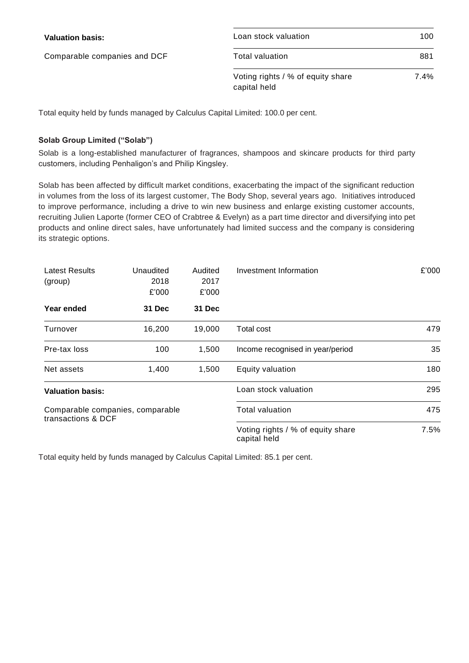| <b>Valuation basis:</b>      | Loan stock valuation                              | 100  |
|------------------------------|---------------------------------------------------|------|
| Comparable companies and DCF | Total valuation                                   | 881  |
|                              | Voting rights / % of equity share<br>capital held | 7.4% |

Total equity held by funds managed by Calculus Capital Limited: 100.0 per cent.

# **Solab Group Limited ("Solab")**

Solab is a long-established manufacturer of fragrances, shampoos and skincare products for third party customers, including Penhaligon's and Philip Kingsley.

Solab has been affected by difficult market conditions, exacerbating the impact of the significant reduction in volumes from the loss of its largest customer, The Body Shop, several years ago. Initiatives introduced to improve performance, including a drive to win new business and enlarge existing customer accounts, recruiting Julien Laporte (former CEO of Crabtree & Evelyn) as a part time director and diversifying into pet products and online direct sales, have unfortunately had limited success and the company is considering its strategic options.

| <b>Latest Results</b><br>(group)                       | Unaudited<br>2018<br>£'000 | Audited<br>2017<br>£'000 | Investment Information                            | £'000 |
|--------------------------------------------------------|----------------------------|--------------------------|---------------------------------------------------|-------|
| Year ended                                             | <b>31 Dec</b>              | <b>31 Dec</b>            |                                                   |       |
| Turnover                                               | 16,200                     | 19,000                   | Total cost                                        | 479   |
| Pre-tax loss                                           | 100                        | 1,500                    | Income recognised in year/period                  | 35    |
| Net assets                                             | 1,400                      | 1,500                    | Equity valuation                                  | 180   |
| <b>Valuation basis:</b>                                |                            |                          | Loan stock valuation                              | 295   |
| Comparable companies, comparable<br>transactions & DCF |                            |                          | Total valuation                                   | 475   |
|                                                        |                            |                          | Voting rights / % of equity share<br>capital held | 7.5%  |

Total equity held by funds managed by Calculus Capital Limited: 85.1 per cent.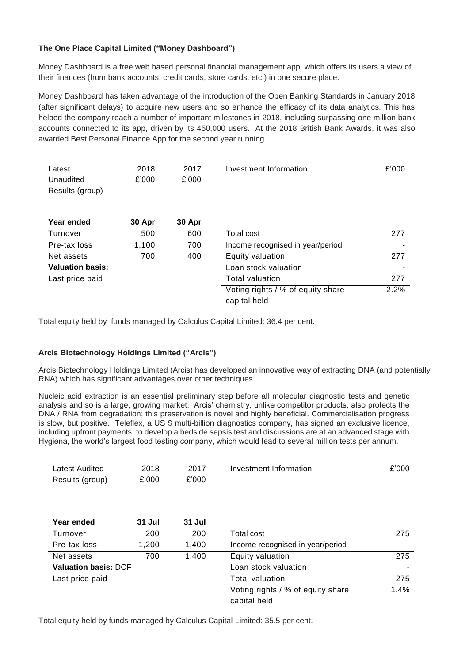# **The One Place Capital Limited ("Money Dashboard")**

Money Dashboard is a free web based personal financial management app, which offers its users a view of their finances (from bank accounts, credit cards, store cards, etc.) in one secure place.

Money Dashboard has taken advantage of the introduction of the Open Banking Standards in January 2018 (after significant delays) to acquire new users and so enhance the efficacy of its data analytics. This has helped the company reach a number of important milestones in 2018, including surpassing one million bank accounts connected to its app, driven by its 450,000 users. At the 2018 British Bank Awards, it was also awarded Best Personal Finance App for the second year running.

| Latest          | 2018  | 2017  | Investment Information | £'000 |
|-----------------|-------|-------|------------------------|-------|
| Unaudited       | £'000 | £'000 |                        |       |
| Results (group) |       |       |                        |       |

| Year ended              | 30 Apr | 30 Apr |                                   |      |
|-------------------------|--------|--------|-----------------------------------|------|
| Turnover                | 500    | 600    | Total cost                        | 277  |
| Pre-tax loss            | 1,100  | 700    | Income recognised in year/period  |      |
| Net assets              | 700    | 400    | Equity valuation                  | 277  |
| <b>Valuation basis:</b> |        |        | Loan stock valuation              |      |
| Last price paid         |        |        | <b>Total valuation</b>            | 277  |
|                         |        |        | Voting rights / % of equity share | 2.2% |
|                         |        |        | capital held                      |      |

Total equity held by funds managed by Calculus Capital Limited: 36.4 per cent.

## **Arcis Biotechnology Holdings Limited ("Arcis")**

Arcis Biotechnology Holdings Limited (Arcis) has developed an innovative way of extracting DNA (and potentially RNA) which has significant advantages over other techniques.

Nucleic acid extraction is an essential preliminary step before all molecular diagnostic tests and genetic analysis and so is a large, growing market. Arcis' chemistry, unlike competitor products, also protects the DNA / RNA from degradation; this preservation is novel and highly beneficial. Commercialisation progress is slow, but positive. Teleflex, a US \$ multi-billion diagnostics company, has signed an exclusive licence, including upfront payments, to develop a bedside sepsis test and discussions are at an advanced stage with Hygiena, the world's largest food testing company, which would lead to several million tests per annum.

| Latest Audited  | 2018  | 2017  | Investment Information | £'000 |
|-----------------|-------|-------|------------------------|-------|
| Results (group) | £'000 | £'000 |                        |       |

| Year ended                  | 31 Jul | 31 Jul |                                   |      |
|-----------------------------|--------|--------|-----------------------------------|------|
| Turnover                    | 200    | 200    | Total cost                        | 275  |
| Pre-tax loss                | 1.200  | 1.400  | Income recognised in year/period  |      |
| Net assets                  | 700    | 1.400  | Equity valuation                  | 275  |
| <b>Valuation basis: DCF</b> |        |        | Loan stock valuation              |      |
| Last price paid             |        |        | <b>Total valuation</b>            | 275  |
|                             |        |        | Voting rights / % of equity share | 1.4% |
|                             |        |        | capital held                      |      |

Total equity held by funds managed by Calculus Capital Limited: 35.5 per cent.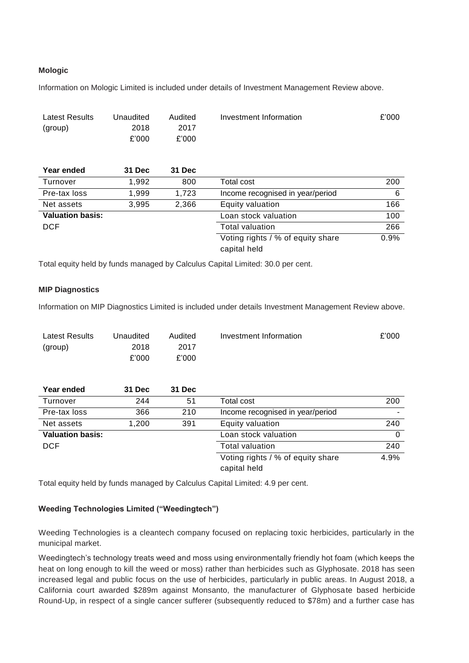# **Mologic**

Information on Mologic Limited is included under details of Investment Management Review above.

| Latest Results<br>(group) | Unaudited<br>2018<br>£'000 | Audited<br>2017<br>£'000 | Investment Information                            | £'000 |
|---------------------------|----------------------------|--------------------------|---------------------------------------------------|-------|
| Year ended                | 31 Dec                     | 31 Dec                   |                                                   |       |
| Turnover                  | 1.992                      | 800                      | Total cost                                        | 200   |
| Pre-tax loss              | 1,999                      | 1,723                    | Income recognised in year/period                  | 6     |
| Net assets                | 3,995                      | 2,366                    | Equity valuation                                  | 166   |
| <b>Valuation basis:</b>   |                            |                          | Loan stock valuation                              | 100   |
| <b>DCF</b>                |                            |                          | <b>Total valuation</b>                            | 266   |
|                           |                            |                          | Voting rights / % of equity share<br>capital held | 0.9%  |

Total equity held by funds managed by Calculus Capital Limited: 30.0 per cent.

## **MIP Diagnostics**

Information on MIP Diagnostics Limited is included under details Investment Management Review above.

| Latest Results | Unaudited | Audited | Investment Information | £'000 |
|----------------|-----------|---------|------------------------|-------|
| (group)        | 2018      | 2017    |                        |       |
|                | £'000     | £'000   |                        |       |

| Year ended              | <b>31 Dec</b> | 31 Dec |                                   |      |
|-------------------------|---------------|--------|-----------------------------------|------|
| Turnover                | 244           | 51     | Total cost                        | 200  |
| Pre-tax loss            | 366           | 210    | Income recognised in year/period  |      |
| Net assets              | 1.200         | 391    | Equity valuation                  | 240  |
| <b>Valuation basis:</b> |               |        | Loan stock valuation              |      |
| <b>DCF</b>              |               |        | <b>Total valuation</b>            | 240  |
|                         |               |        | Voting rights / % of equity share | 4.9% |
|                         |               |        | capital held                      |      |

Total equity held by funds managed by Calculus Capital Limited: 4.9 per cent.

## **Weeding Technologies Limited ("Weedingtech")**

Weeding Technologies is a cleantech company focused on replacing toxic herbicides, particularly in the municipal market.

Weedingtech's technology treats weed and moss using environmentally friendly hot foam (which keeps the heat on long enough to kill the weed or moss) rather than herbicides such as Glyphosate. 2018 has seen increased legal and public focus on the use of herbicides, particularly in public areas. In August 2018, a California court awarded \$289m against Monsanto, the manufacturer of Glyphosate based herbicide Round-Up, in respect of a single cancer sufferer (subsequently reduced to \$78m) and a further case has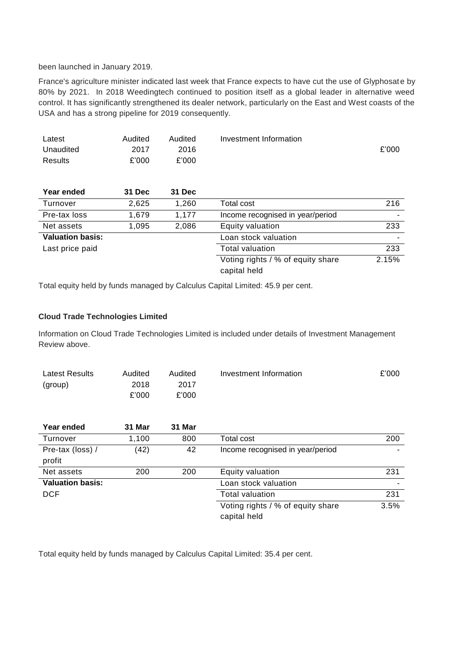been launched in January 2019.

France's agriculture minister indicated last week that France expects to have cut the use of Glyphosate by 80% by 2021. In 2018 Weedingtech continued to position itself as a global leader in alternative weed control. It has significantly strengthened its dealer network, particularly on the East and West coasts of the USA and has a strong pipeline for 2019 consequently.

| Latest                  | Audited | Audited       | Investment Information            |       |
|-------------------------|---------|---------------|-----------------------------------|-------|
| Unaudited               | 2017    | 2016          |                                   | £'000 |
| Results                 | £'000   | £'000         |                                   |       |
|                         |         |               |                                   |       |
| Year ended              | 31 Dec  | <b>31 Dec</b> |                                   |       |
| Turnover                | 2,625   | 1,260         | Total cost                        | 216   |
| Pre-tax loss            | 1,679   | 1,177         | Income recognised in year/period  |       |
| Net assets              | 1,095   | 2,086         | Equity valuation                  | 233   |
| <b>Valuation basis:</b> |         |               | Loan stock valuation              |       |
| Last price paid         |         |               | <b>Total valuation</b>            | 233   |
|                         |         |               | Voting rights / % of equity share | 2.15% |
|                         |         |               | capital held                      |       |

Total equity held by funds managed by Calculus Capital Limited: 45.9 per cent.

## **Cloud Trade Technologies Limited**

Information on Cloud Trade Technologies Limited is included under details of Investment Management Review above.

| Latest Results | Audited | Audited | Investment Information | £'000 |
|----------------|---------|---------|------------------------|-------|
| (group)        | 2018    | 2017    |                        |       |
|                | £'000   | £'000   |                        |       |

| Year ended                 | 31 Mar | 31 Mar |                                                   |      |
|----------------------------|--------|--------|---------------------------------------------------|------|
| Turnover                   | 1.100  | 800    | Total cost                                        | 200  |
| Pre-tax (loss) /<br>profit | (42)   | 42     | Income recognised in year/period                  |      |
| Net assets                 | 200    | 200    | Equity valuation                                  | 231  |
| <b>Valuation basis:</b>    |        |        | Loan stock valuation                              |      |
| <b>DCF</b>                 |        |        | <b>Total valuation</b>                            | 231  |
|                            |        |        | Voting rights / % of equity share<br>capital held | 3.5% |

Total equity held by funds managed by Calculus Capital Limited: 35.4 per cent.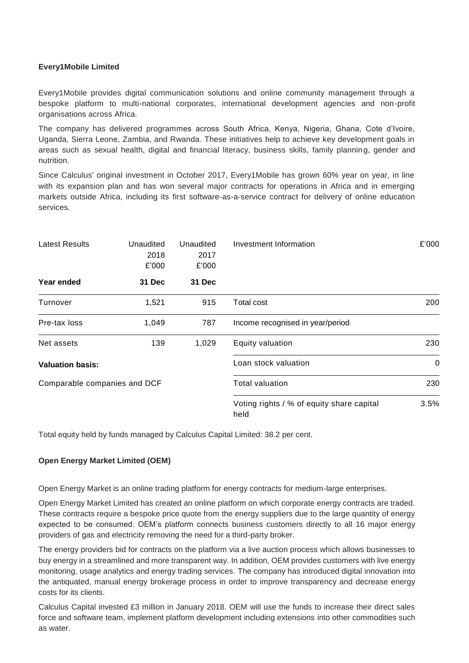## **Every1Mobile Limited**

Every1Mobile provides digital communication solutions and online community management through a bespoke platform to multi-national corporates, international development agencies and non-profit organisations across Africa.

The company has delivered programmes across South Africa, Kenya, Nigeria, Ghana, Cote d'Ivoire, Uganda, Sierra Leone, Zambia, and Rwanda. These initiatives help to achieve key development goals in areas such as sexual health, digital and financial literacy, business skills, family planning, gender and nutrition.

Since Calculus' original investment in October 2017, Every1Mobile has grown 60% year on year, in line with its expansion plan and has won several major contracts for operations in Africa and in emerging markets outside Africa, including its first software-as-a-service contract for delivery of online education services.

| <b>Latest Results</b>        | Unaudited<br>2018<br>£'000 | Unaudited<br>2017<br>£'000 | Investment Information                            | £'000    |
|------------------------------|----------------------------|----------------------------|---------------------------------------------------|----------|
| Year ended                   | 31 Dec                     | 31 Dec                     |                                                   |          |
| Turnover                     | 1,521                      | 915                        | Total cost                                        | 200      |
| Pre-tax loss                 | 1,049                      | 787                        | Income recognised in year/period                  |          |
| Net assets                   | 139                        | 1,029                      | Equity valuation                                  | 230      |
| <b>Valuation basis:</b>      |                            |                            | Loan stock valuation                              | $\Omega$ |
| Comparable companies and DCF |                            |                            | Total valuation                                   | 230      |
|                              |                            |                            | Voting rights / % of equity share capital<br>held | 3.5%     |

Total equity held by funds managed by Calculus Capital Limited: 38.2 per cent.

## **Open Energy Market Limited (OEM)**

Open Energy Market is an online trading platform for energy contracts for medium-large enterprises.

Open Energy Market Limited has created an online platform on which corporate energy contracts are traded. These contracts require a bespoke price quote from the energy suppliers due to the large quantity of energy expected to be consumed. OEM's platform connects business customers directly to all 16 major energy providers of gas and electricity removing the need for a third-party broker.

The energy providers bid for contracts on the platform via a live auction process which allows businesses to buy energy in a streamlined and more transparent way. In addition, OEM provides customers with live energy monitoring, usage analytics and energy trading services. The company has introduced digital innovation into the antiquated, manual energy brokerage process in order to improve transparency and decrease energy costs for its clients.

Calculus Capital invested £3 million in January 2018. OEM will use the funds to increase their direct sales force and software team, implement platform development including extensions into other commodities such as water.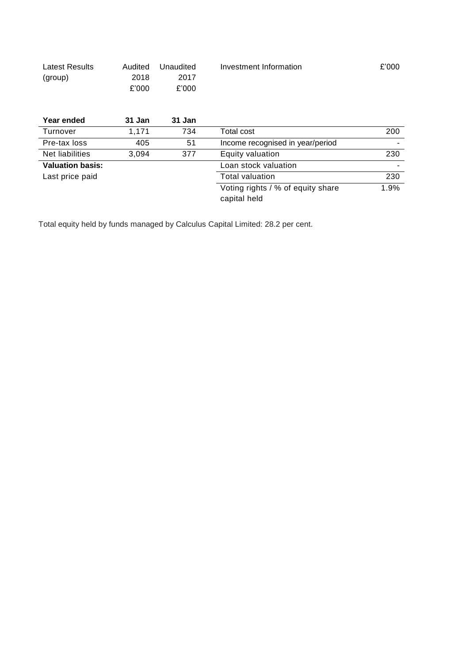| Latest Results | Audited | Unaudited | Investment Information | £'000 |
|----------------|---------|-----------|------------------------|-------|
| (group)        | 2018    | 2017      |                        |       |
|                | £'000   | £'000     |                        |       |

| Year ended              | 31 Jan | 31 Jan |                                   |      |
|-------------------------|--------|--------|-----------------------------------|------|
| Turnover                | 1,171  | 734    | Total cost                        | 200  |
| Pre-tax loss            | 405    | 51     | Income recognised in year/period  |      |
| Net liabilities         | 3,094  | 377    | Equity valuation                  | 230  |
| <b>Valuation basis:</b> |        |        | Loan stock valuation              |      |
| Last price paid         |        |        | <b>Total valuation</b>            | 230  |
|                         |        |        | Voting rights / % of equity share | 1.9% |
|                         |        |        | capital held                      |      |

Total equity held by funds managed by Calculus Capital Limited: 28.2 per cent.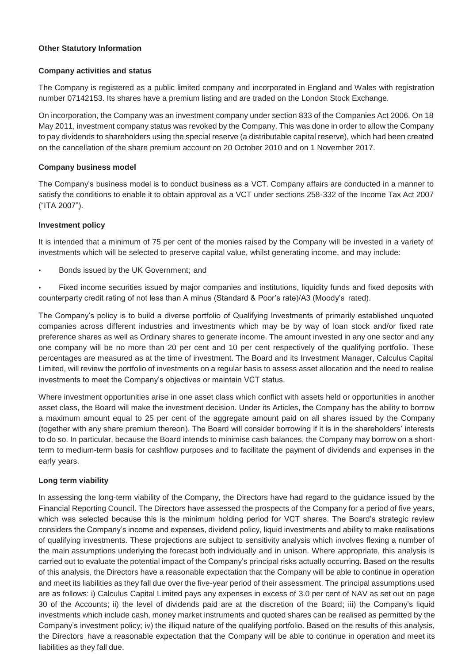## **Other Statutory Information**

## **Company activities and status**

The Company is registered as a public limited company and incorporated in England and Wales with registration number 07142153. Its shares have a premium listing and are traded on the London Stock Exchange.

On incorporation, the Company was an investment company under section 833 of the Companies Act 2006. On 18 May 2011, investment company status was revoked by the Company. This was done in order to allow the Company to pay dividends to shareholders using the special reserve (a distributable capital reserve), which had been created on the cancellation of the share premium account on 20 October 2010 and on 1 November 2017.

## **Company business model**

The Company's business model is to conduct business as a VCT. Company affairs are conducted in a manner to satisfy the conditions to enable it to obtain approval as a VCT under sections 258-332 of the Income Tax Act 2007 ("ITA 2007").

# **Investment policy**

It is intended that a minimum of 75 per cent of the monies raised by the Company will be invested in a variety of investments which will be selected to preserve capital value, whilst generating income, and may include:

- Bonds issued by the UK Government; and
- Fixed income securities issued by major companies and institutions, liquidity funds and fixed deposits with counterparty credit rating of not less than A minus (Standard & Poor's rate)/A3 (Moody's rated).

The Company's policy is to build a diverse portfolio of Qualifying Investments of primarily established unquoted companies across different industries and investments which may be by way of loan stock and/or fixed rate preference shares as well as Ordinary shares to generate income. The amount invested in any one sector and any one company will be no more than 20 per cent and 10 per cent respectively of the qualifying portfolio. These percentages are measured as at the time of investment. The Board and its Investment Manager, Calculus Capital Limited, will review the portfolio of investments on a regular basis to assess asset allocation and the need to realise investments to meet the Company's objectives or maintain VCT status.

Where investment opportunities arise in one asset class which conflict with assets held or opportunities in another asset class, the Board will make the investment decision. Under its Articles, the Company has the ability to borrow a maximum amount equal to 25 per cent of the aggregate amount paid on all shares issued by the Company (together with any share premium thereon). The Board will consider borrowing if it is in the shareholders' interests to do so. In particular, because the Board intends to minimise cash balances, the Company may borrow on a shortterm to medium-term basis for cashflow purposes and to facilitate the payment of dividends and expenses in the early years.

# **Long term viability**

In assessing the long-term viability of the Company, the Directors have had regard to the guidance issued by the Financial Reporting Council. The Directors have assessed the prospects of the Company for a period of five years, which was selected because this is the minimum holding period for VCT shares. The Board's strategic review considers the Company's income and expenses, dividend policy, liquid investments and ability to make realisations of qualifying investments. These projections are subject to sensitivity analysis which involves flexing a number of the main assumptions underlying the forecast both individually and in unison. Where appropriate, this analysis is carried out to evaluate the potential impact of the Company's principal risks actually occurring. Based on the results of this analysis, the Directors have a reasonable expectation that the Company will be able to continue in operation and meet its liabilities as they fall due over the five-year period of their assessment. The principal assumptions used are as follows: i) Calculus Capital Limited pays any expenses in excess of 3.0 per cent of NAV as set out on page 30 of the Accounts; ii) the level of dividends paid are at the discretion of the Board; iii) the Company's liquid investments which include cash, money market instruments and quoted shares can be realised as permitted by the Company's investment policy; iv) the illiquid nature of the qualifying portfolio. Based on the results of this analysis, the Directors have a reasonable expectation that the Company will be able to continue in operation and meet its liabilities as they fall due.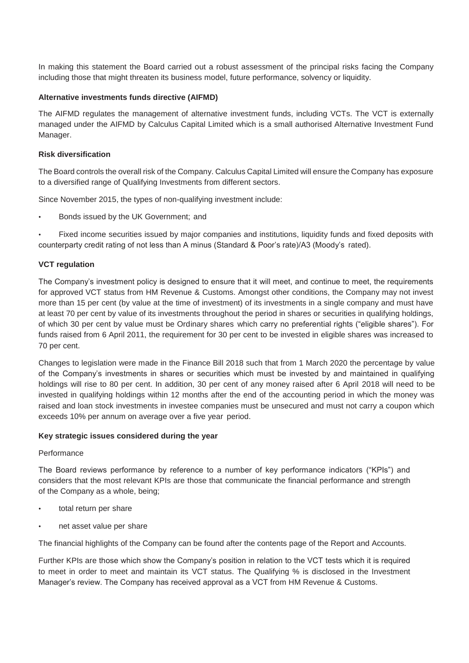In making this statement the Board carried out a robust assessment of the principal risks facing the Company including those that might threaten its business model, future performance, solvency or liquidity.

#### **Alternative investments funds directive (AIFMD)**

The AIFMD regulates the management of alternative investment funds, including VCTs. The VCT is externally managed under the AIFMD by Calculus Capital Limited which is a small authorised Alternative Investment Fund Manager.

#### **Risk diversification**

The Board controls the overall risk of the Company. Calculus Capital Limited will ensure the Company has exposure to a diversified range of Qualifying Investments from different sectors.

Since November 2015, the types of non-qualifying investment include:

• Bonds issued by the UK Government; and

• Fixed income securities issued by major companies and institutions, liquidity funds and fixed deposits with counterparty credit rating of not less than A minus (Standard & Poor's rate)/A3 (Moody's rated).

## **VCT regulation**

The Company's investment policy is designed to ensure that it will meet, and continue to meet, the requirements for approved VCT status from HM Revenue & Customs. Amongst other conditions, the Company may not invest more than 15 per cent (by value at the time of investment) of its investments in a single company and must have at least 70 per cent by value of its investments throughout the period in shares or securities in qualifying holdings, of which 30 per cent by value must be Ordinary shares which carry no preferential rights ("eligible shares"). For funds raised from 6 April 2011, the requirement for 30 per cent to be invested in eligible shares was increased to 70 per cent.

Changes to legislation were made in the Finance Bill 2018 such that from 1 March 2020 the percentage by value of the Company's investments in shares or securities which must be invested by and maintained in qualifying holdings will rise to 80 per cent. In addition, 30 per cent of any money raised after 6 April 2018 will need to be invested in qualifying holdings within 12 months after the end of the accounting period in which the money was raised and loan stock investments in investee companies must be unsecured and must not carry a coupon which exceeds 10% per annum on average over a five year period.

#### **Key strategic issues considered during the year**

#### **Performance**

The Board reviews performance by reference to a number of key performance indicators ("KPIs") and considers that the most relevant KPIs are those that communicate the financial performance and strength of the Company as a whole, being;

- total return per share
- net asset value per share

The financial highlights of the Company can be found after the contents page of the Report and Accounts.

Further KPIs are those which show the Company's position in relation to the VCT tests which it is required to meet in order to meet and maintain its VCT status. The Qualifying % is disclosed in the Investment Manager's review. The Company has received approval as a VCT from HM Revenue & Customs.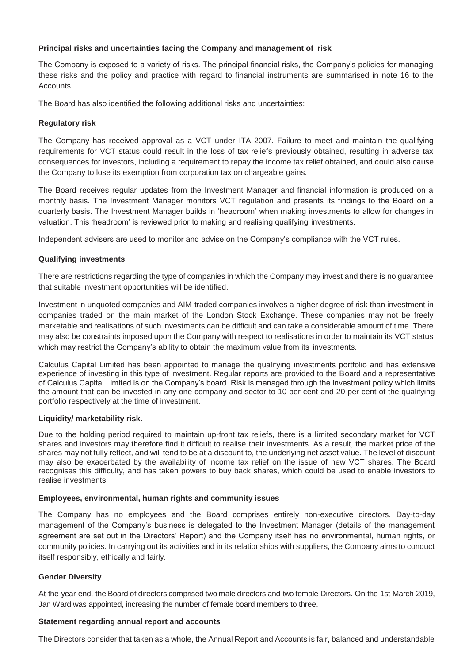## **Principal risks and uncertainties facing the Company and management of risk**

The Company is exposed to a variety of risks. The principal financial risks, the Company's policies for managing these risks and the policy and practice with regard to financial instruments are summarised in note 16 to the **Accounts** 

The Board has also identified the following additional risks and uncertainties:

## **Regulatory risk**

The Company has received approval as a VCT under ITA 2007. Failure to meet and maintain the qualifying requirements for VCT status could result in the loss of tax reliefs previously obtained, resulting in adverse tax consequences for investors, including a requirement to repay the income tax relief obtained, and could also cause the Company to lose its exemption from corporation tax on chargeable gains.

The Board receives regular updates from the Investment Manager and financial information is produced on a monthly basis. The Investment Manager monitors VCT regulation and presents its findings to the Board on a quarterly basis. The Investment Manager builds in 'headroom' when making investments to allow for changes in valuation. This 'headroom' is reviewed prior to making and realising qualifying investments.

Independent advisers are used to monitor and advise on the Company's compliance with the VCT rules.

# **Qualifying investments**

There are restrictions regarding the type of companies in which the Company may invest and there is no guarantee that suitable investment opportunities will be identified.

Investment in unquoted companies and AIM-traded companies involves a higher degree of risk than investment in companies traded on the main market of the London Stock Exchange. These companies may not be freely marketable and realisations of such investments can be difficult and can take a considerable amount of time. There may also be constraints imposed upon the Company with respect to realisations in order to maintain its VCT status which may restrict the Company's ability to obtain the maximum value from its investments.

Calculus Capital Limited has been appointed to manage the qualifying investments portfolio and has extensive experience of investing in this type of investment. Regular reports are provided to the Board and a representative of Calculus Capital Limited is on the Company's board. Risk is managed through the investment policy which limits the amount that can be invested in any one company and sector to 10 per cent and 20 per cent of the qualifying portfolio respectively at the time of investment.

## **Liquidity/ marketability risk.**

Due to the holding period required to maintain up-front tax reliefs, there is a limited secondary market for VCT shares and investors may therefore find it difficult to realise their investments. As a result, the market price of the shares may not fully reflect, and will tend to be at a discount to, the underlying net asset value. The level of discount may also be exacerbated by the availability of income tax relief on the issue of new VCT shares. The Board recognises this difficulty, and has taken powers to buy back shares, which could be used to enable investors to realise investments.

## **Employees, environmental, human rights and community issues**

The Company has no employees and the Board comprises entirely non-executive directors. Day-to-day management of the Company's business is delegated to the Investment Manager (details of the management agreement are set out in the Directors' Report) and the Company itself has no environmental, human rights, or community policies. In carrying out its activities and in its relationships with suppliers, the Company aims to conduct itself responsibly, ethically and fairly.

## **Gender Diversity**

At the year end, the Board of directors comprised two male directors and two female Directors. On the 1st March 2019, Jan Ward was appointed, increasing the number of female board members to three.

## **Statement regarding annual report and accounts**

The Directors consider that taken as a whole, the Annual Report and Accounts is fair, balanced and understandable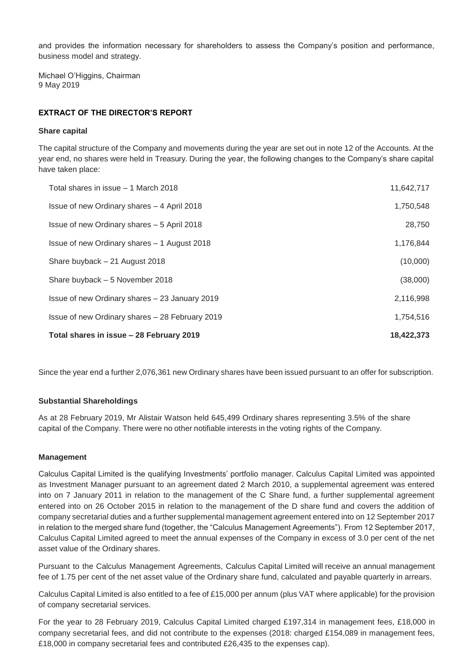and provides the information necessary for shareholders to assess the Company's position and performance, business model and strategy.

Michael O'Higgins, Chairman 9 May 2019

## **EXTRACT OF THE DIRECTOR'S REPORT**

#### **Share capital**

The capital structure of the Company and movements during the year are set out in note 12 of the Accounts. At the year end, no shares were held in Treasury. During the year, the following changes to the Company's share capital have taken place:

| Total shares in issue - 28 February 2019        | 18,422,373 |
|-------------------------------------------------|------------|
| Issue of new Ordinary shares - 28 February 2019 | 1,754,516  |
| Issue of new Ordinary shares - 23 January 2019  | 2,116,998  |
| Share buyback - 5 November 2018                 | (38,000)   |
| Share buyback - 21 August 2018                  | (10,000)   |
| Issue of new Ordinary shares – 1 August 2018    | 1,176,844  |
| Issue of new Ordinary shares - 5 April 2018     | 28,750     |
| Issue of new Ordinary shares - 4 April 2018     | 1,750,548  |
| Total shares in issue – 1 March 2018            | 11,642,717 |

Since the year end a further 2,076,361 new Ordinary shares have been issued pursuant to an offer for subscription.

## **Substantial Shareholdings**

As at 28 February 2019, Mr Alistair Watson held 645,499 Ordinary shares representing 3.5% of the share capital of the Company. There were no other notifiable interests in the voting rights of the Company.

#### **Management**

Calculus Capital Limited is the qualifying Investments' portfolio manager. Calculus Capital Limited was appointed as Investment Manager pursuant to an agreement dated 2 March 2010, a supplemental agreement was entered into on 7 January 2011 in relation to the management of the C Share fund, a further supplemental agreement entered into on 26 October 2015 in relation to the management of the D share fund and covers the addition of company secretarial duties and a further supplemental management agreement entered into on 12 September 2017 in relation to the merged share fund (together, the "Calculus Management Agreements"). From 12 September 2017, Calculus Capital Limited agreed to meet the annual expenses of the Company in excess of 3.0 per cent of the net asset value of the Ordinary shares.

Pursuant to the Calculus Management Agreements, Calculus Capital Limited will receive an annual management fee of 1.75 per cent of the net asset value of the Ordinary share fund, calculated and payable quarterly in arrears.

Calculus Capital Limited is also entitled to a fee of £15,000 per annum (plus VAT where applicable) for the provision of company secretarial services.

For the year to 28 February 2019, Calculus Capital Limited charged £197,314 in management fees, £18,000 in company secretarial fees, and did not contribute to the expenses (2018: charged £154,089 in management fees, £18,000 in company secretarial fees and contributed £26,435 to the expenses cap).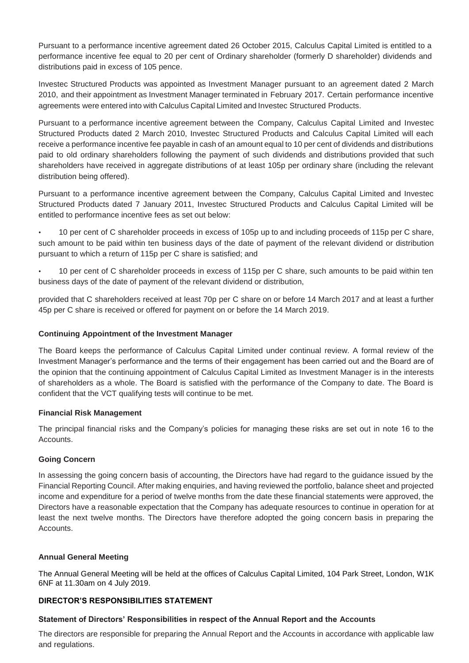Pursuant to a performance incentive agreement dated 26 October 2015, Calculus Capital Limited is entitled to a performance incentive fee equal to 20 per cent of Ordinary shareholder (formerly D shareholder) dividends and distributions paid in excess of 105 pence.

Investec Structured Products was appointed as Investment Manager pursuant to an agreement dated 2 March 2010, and their appointment as Investment Manager terminated in February 2017. Certain performance incentive agreements were entered into with Calculus Capital Limited and Investec Structured Products.

Pursuant to a performance incentive agreement between the Company, Calculus Capital Limited and Investec Structured Products dated 2 March 2010, Investec Structured Products and Calculus Capital Limited will each receive a performance incentive fee payable in cash of an amount equal to 10 per cent of dividends and distributions paid to old ordinary shareholders following the payment of such dividends and distributions provided that such shareholders have received in aggregate distributions of at least 105p per ordinary share (including the relevant distribution being offered).

Pursuant to a performance incentive agreement between the Company, Calculus Capital Limited and Investec Structured Products dated 7 January 2011, Investec Structured Products and Calculus Capital Limited will be entitled to performance incentive fees as set out below:

• 10 per cent of C shareholder proceeds in excess of 105p up to and including proceeds of 115p per C share, such amount to be paid within ten business days of the date of payment of the relevant dividend or distribution pursuant to which a return of 115p per C share is satisfied; and

• 10 per cent of C shareholder proceeds in excess of 115p per C share, such amounts to be paid within ten business days of the date of payment of the relevant dividend or distribution,

provided that C shareholders received at least 70p per C share on or before 14 March 2017 and at least a further 45p per C share is received or offered for payment on or before the 14 March 2019.

# **Continuing Appointment of the Investment Manager**

The Board keeps the performance of Calculus Capital Limited under continual review. A formal review of the Investment Manager's performance and the terms of their engagement has been carried out and the Board are of the opinion that the continuing appointment of Calculus Capital Limited as Investment Manager is in the interests of shareholders as a whole. The Board is satisfied with the performance of the Company to date. The Board is confident that the VCT qualifying tests will continue to be met.

## **Financial Risk Management**

The principal financial risks and the Company's policies for managing these risks are set out in note 16 to the Accounts.

## **Going Concern**

In assessing the going concern basis of accounting, the Directors have had regard to the guidance issued by the Financial Reporting Council. After making enquiries, and having reviewed the portfolio, balance sheet and projected income and expenditure for a period of twelve months from the date these financial statements were approved, the Directors have a reasonable expectation that the Company has adequate resources to continue in operation for at least the next twelve months. The Directors have therefore adopted the going concern basis in preparing the Accounts.

## **Annual General Meeting**

The Annual General Meeting will be held at the offices of Calculus Capital Limited, 104 Park Street, London, W1K 6NF at 11.30am on 4 July 2019.

# **DIRECTOR'S RESPONSIBILITIES STATEMENT**

## **Statement of Directors' Responsibilities in respect of the Annual Report and the Accounts**

The directors are responsible for preparing the Annual Report and the Accounts in accordance with applicable law and regulations.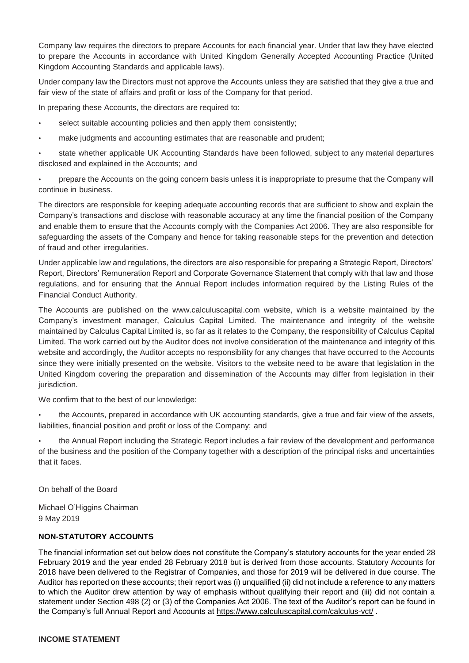Company law requires the directors to prepare Accounts for each financial year. Under that law they have elected to prepare the Accounts in accordance with United Kingdom Generally Accepted Accounting Practice (United Kingdom Accounting Standards and applicable laws).

Under company law the Directors must not approve the Accounts unless they are satisfied that they give a true and fair view of the state of affairs and profit or loss of the Company for that period.

In preparing these Accounts, the directors are required to:

- select suitable accounting policies and then apply them consistently;
- make judgments and accounting estimates that are reasonable and prudent;

state whether applicable UK Accounting Standards have been followed, subject to any material departures disclosed and explained in the Accounts; and

• prepare the Accounts on the going concern basis unless it is inappropriate to presume that the Company will continue in business.

The directors are responsible for keeping adequate accounting records that are sufficient to show and explain the Company's transactions and disclose with reasonable accuracy at any time the financial position of the Company and enable them to ensure that the Accounts comply with the Companies Act 2006. They are also responsible for safeguarding the assets of the Company and hence for taking reasonable steps for the prevention and detection of fraud and other irregularities.

Under applicable law and regulations, the directors are also responsible for preparing a Strategic Report, Directors' Report, Directors' Remuneration Report and Corporate Governance Statement that comply with that law and those regulations, and for ensuring that the Annual Report includes information required by the Listing Rules of the Financial Conduct Authority.

The Accounts are published on the www.calculuscapital.com website, which is a website maintained by the Company's investment manager, Calculus Capital Limited. The maintenance and integrity of the website maintained by Calculus Capital Limited is, so far as it relates to the Company, the responsibility of Calculus Capital Limited. The work carried out by the Auditor does not involve consideration of the maintenance and integrity of this website and accordingly, the Auditor accepts no responsibility for any changes that have occurred to the Accounts since they were initially presented on the website. Visitors to the website need to be aware that legislation in the United Kingdom covering the preparation and dissemination of the Accounts may differ from legislation in their jurisdiction.

We confirm that to the best of our knowledge:

• the Accounts, prepared in accordance with UK accounting standards, give a true and fair view of the assets, liabilities, financial position and profit or loss of the Company; and

• the Annual Report including the Strategic Report includes a fair review of the development and performance of the business and the position of the Company together with a description of the principal risks and uncertainties that it faces.

On behalf of the Board

Michael O'Higgins Chairman 9 May 2019

## **NON-STATUTORY ACCOUNTS**

The financial information set out below does not constitute the Company's statutory accounts for the year ended 28 February 2019 and the year ended 28 February 2018 but is derived from those accounts. Statutory Accounts for 2018 have been delivered to the Registrar of Companies, and those for 2019 will be delivered in due course. The Auditor has reported on these accounts; their report was (i) unqualified (ii) did not include a reference to any matters to which the Auditor drew attention by way of emphasis without qualifying their report and (iii) did not contain a statement under Section 498 (2) or (3) of the Companies Act 2006. The text of the Auditor's report can be found in the Company's full Annual Report and Accounts at<https://www.calculuscapital.com/calculus-vct/>.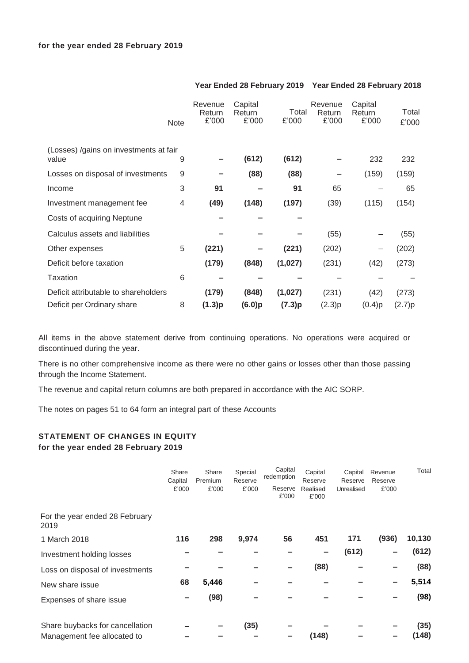|                                                 | <b>Note</b> | Revenue<br>Return<br>£'000 | Capital<br>Return<br>£'000 | Total<br>£'000 | Revenue<br>Return<br>£'000 | Capital<br>Return<br>£'000 | Total<br>£'000 |
|-------------------------------------------------|-------------|----------------------------|----------------------------|----------------|----------------------------|----------------------------|----------------|
| (Losses) /gains on investments at fair<br>value | 9           |                            | (612)                      | (612)          |                            | 232                        | 232            |
| Losses on disposal of investments               | 9           |                            | (88)                       | (88)           |                            | (159)                      | (159)          |
| Income                                          | 3           | 91                         |                            | 91             | 65                         |                            | 65             |
| Investment management fee                       | 4           | (49)                       | (148)                      | (197)          | (39)                       | (115)                      | (154)          |
| Costs of acquiring Neptune                      |             |                            |                            |                |                            |                            |                |
| Calculus assets and liabilities                 |             |                            |                            |                | (55)                       |                            | (55)           |
| Other expenses                                  | 5           | (221)                      |                            | (221)          | (202)                      |                            | (202)          |
| Deficit before taxation                         |             | (179)                      | (848)                      | (1,027)        | (231)                      | (42)                       | (273)          |
| Taxation                                        | 6           |                            |                            |                |                            |                            |                |
| Deficit attributable to shareholders            |             | (179)                      | (848)                      | (1,027)        | (231)                      | (42)                       | (273)          |
| Deficit per Ordinary share                      | 8           | (1.3)p                     | (6.0)p                     | (7.3)p         | (2.3)p                     | (0.4)p                     | (2.7)p         |

# **Year Ended 28 February 2019 Year Ended 28 February 2018**

All items in the above statement derive from continuing operations. No operations were acquired or discontinued during the year.

There is no other comprehensive income as there were no other gains or losses other than those passing through the Income Statement.

The revenue and capital return columns are both prepared in accordance with the AIC SORP.

The notes on pages 51 to 64 form an integral part of these Accounts

# **STATEMENT OF CHANGES IN EQUITY for the year ended 28 February 2019**

|                                        | Share<br>Capital<br>£'000 | Share<br>Premium<br>£'000 | Special<br>Reserve<br>£'000 | Capital<br>redemption<br>Reserve<br>£'000 | Capital<br>Reserve<br>Realised<br>£'000 | Capital<br>Reserve<br>Unrealised | Revenue<br>Reserve<br>£'000 | Total  |
|----------------------------------------|---------------------------|---------------------------|-----------------------------|-------------------------------------------|-----------------------------------------|----------------------------------|-----------------------------|--------|
| For the year ended 28 February<br>2019 |                           |                           |                             |                                           |                                         |                                  |                             |        |
| 1 March 2018                           | 116                       | 298                       | 9,974                       | 56                                        | 451                                     | 171                              | (936)                       | 10,130 |
| Investment holding losses              |                           |                           |                             |                                           | -                                       | (612)                            |                             | (612)  |
| Loss on disposal of investments        |                           |                           |                             |                                           | (88)                                    |                                  |                             | (88)   |
| New share issue                        | 68                        | 5,446                     |                             |                                           |                                         |                                  |                             | 5,514  |
| Expenses of share issue                |                           | (98)                      |                             |                                           |                                         |                                  |                             | (98)   |
| Share buybacks for cancellation        |                           |                           | (35)                        |                                           |                                         |                                  |                             | (35)   |
| Management fee allocated to            |                           |                           |                             |                                           | (148)                                   |                                  |                             | (148)  |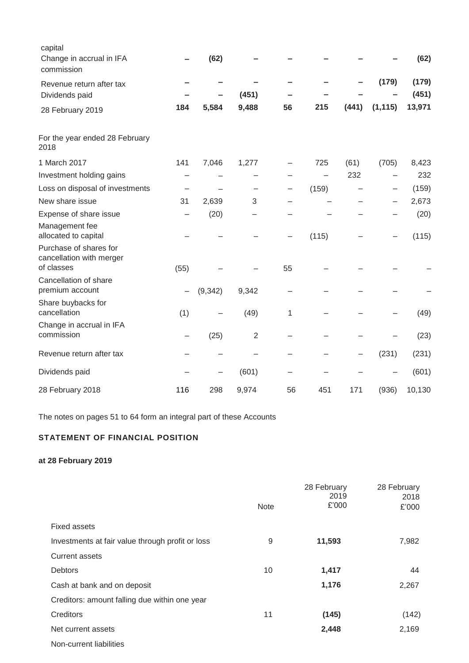| capital<br>Change in accrual in IFA<br>commission                |      | (62)     |                |    |       |       |          | (62)   |
|------------------------------------------------------------------|------|----------|----------------|----|-------|-------|----------|--------|
| Revenue return after tax                                         |      |          |                |    |       |       | (179)    | (179)  |
| Dividends paid                                                   |      |          | (451)          |    |       |       |          | (451)  |
| 28 February 2019                                                 | 184  | 5,584    | 9,488          | 56 | 215   | (441) | (1, 115) | 13,971 |
| For the year ended 28 February<br>2018                           |      |          |                |    |       |       |          |        |
| 1 March 2017                                                     | 141  | 7,046    | 1,277          |    | 725   | (61)  | (705)    | 8,423  |
| Investment holding gains                                         |      |          |                |    |       | 232   |          | 232    |
| Loss on disposal of investments                                  |      |          |                |    | (159) |       |          | (159)  |
| New share issue                                                  | 31   | 2,639    | 3              |    |       |       |          | 2,673  |
| Expense of share issue                                           |      | (20)     |                |    |       |       |          | (20)   |
| Management fee<br>allocated to capital                           |      |          |                |    | (115) |       |          | (115)  |
| Purchase of shares for<br>cancellation with merger<br>of classes | (55) |          |                | 55 |       |       |          |        |
| Cancellation of share                                            |      |          |                |    |       |       |          |        |
| premium account                                                  |      | (9, 342) | 9,342          |    |       |       |          |        |
| Share buybacks for<br>cancellation                               | (1)  |          | (49)           | 1  |       |       |          | (49)   |
| Change in accrual in IFA<br>commission                           |      | (25)     | $\overline{2}$ |    |       |       |          | (23)   |
| Revenue return after tax                                         |      |          |                |    |       |       | (231)    | (231)  |
| Dividends paid                                                   |      |          | (601)          |    |       |       |          | (601)  |
| 28 February 2018                                                 | 116  | 298      | 9,974          | 56 | 451   | 171   | (936)    | 10,130 |

The notes on pages 51 to 64 form an integral part of these Accounts

# **STATEMENT OF FINANCIAL POSITION**

# **at 28 February 2019**

|                                                  |             | 28 February<br>2019 | 28 February<br>2018 |
|--------------------------------------------------|-------------|---------------------|---------------------|
|                                                  | <b>Note</b> | £'000               | £'000               |
| <b>Fixed assets</b>                              |             |                     |                     |
| Investments at fair value through profit or loss | 9           | 11,593              | 7,982               |
| <b>Current assets</b>                            |             |                     |                     |
| <b>Debtors</b>                                   | 10          | 1,417               | 44                  |
| Cash at bank and on deposit                      |             | 1,176               | 2,267               |
| Creditors: amount falling due within one year    |             |                     |                     |
| Creditors                                        | 11          | (145)               | (142)               |
| Net current assets                               |             | 2,448               | 2,169               |
| Non-current liabilities                          |             |                     |                     |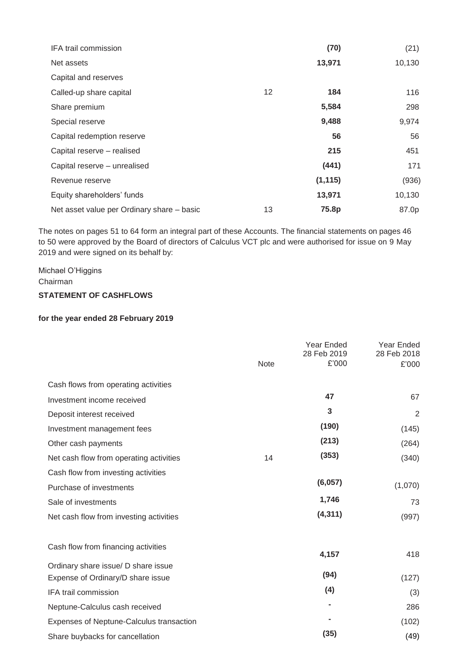| IFA trail commission                       |    | (70)     | (21)   |
|--------------------------------------------|----|----------|--------|
| Net assets                                 |    | 13,971   | 10,130 |
| Capital and reserves                       |    |          |        |
| Called-up share capital                    | 12 | 184      | 116    |
| Share premium                              |    | 5,584    | 298    |
| Special reserve                            |    | 9,488    | 9,974  |
| Capital redemption reserve                 |    | 56       | 56     |
| Capital reserve - realised                 |    | 215      | 451    |
| Capital reserve - unrealised               |    | (441)    | 171    |
| Revenue reserve                            |    | (1, 115) | (936)  |
| Equity shareholders' funds                 |    | 13,971   | 10,130 |
| Net asset value per Ordinary share - basic | 13 | 75.8p    | 87.0p  |

The notes on pages 51 to 64 form an integral part of these Accounts. The financial statements on pages 46 to 50 were approved by the Board of directors of Calculus VCT plc and were authorised for issue on 9 May 2019 and were signed on its behalf by:

Michael O'Higgins Chairman **STATEMENT OF CASHFLOWS**

# **for the year ended 28 February 2019**

|      | Year Ended | Year Ended<br>28 Feb 2018  |
|------|------------|----------------------------|
| Note | £'000      | £'000                      |
|      |            |                            |
|      | 47         | 67                         |
|      | 3          | $\overline{2}$             |
|      | (190)      | (145)                      |
|      | (213)      | (264)                      |
| 14   | (353)      | (340)                      |
|      |            |                            |
|      | (6,057)    | (1,070)                    |
|      | 1,746      | 73                         |
|      | (4, 311)   | (997)                      |
|      | 4,157      | 418                        |
|      |            |                            |
|      |            | (127)                      |
|      |            | (3)                        |
|      |            | 286                        |
|      |            | (102)                      |
|      | (35)       | (49)                       |
|      |            | 28 Feb 2019<br>(94)<br>(4) |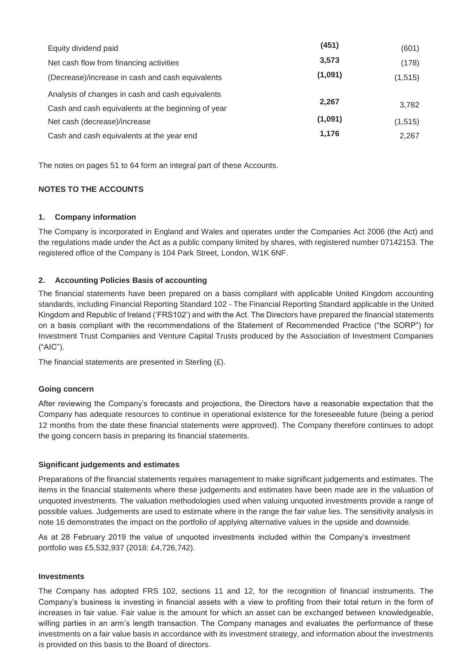| Equity dividend paid                               | (451)   | (601)    |
|----------------------------------------------------|---------|----------|
| Net cash flow from financing activities            | 3,573   | (178)    |
| (Decrease)/increase in cash and cash equivalents   | (1,091) | (1, 515) |
| Analysis of changes in cash and cash equivalents   |         |          |
| Cash and cash equivalents at the beginning of year | 2,267   | 3,782    |
| Net cash (decrease)/increase                       | (1,091) | (1, 515) |
| Cash and cash equivalents at the year end          | 1,176   | 2,267    |

The notes on pages 51 to 64 form an integral part of these Accounts.

# **NOTES TO THE ACCOUNTS**

# **1. Company information**

The Company is incorporated in England and Wales and operates under the Companies Act 2006 (the Act) and the regulations made under the Act as a public company limited by shares, with registered number 07142153. The registered office of the Company is 104 Park Street, London, W1K 6NF.

# **2. Accounting Policies Basis of accounting**

The financial statements have been prepared on a basis compliant with applicable United Kingdom accounting standards, including Financial Reporting Standard 102 - The Financial Reporting Standard applicable in the United Kingdom and Republic of Ireland ('FRS102') and with the Act. The Directors have prepared the financial statements on a basis compliant with the recommendations of the Statement of Recommended Practice ("the SORP") for Investment Trust Companies and Venture Capital Trusts produced by the Association of Investment Companies ("AIC").

The financial statements are presented in Sterling (£).

## **Going concern**

After reviewing the Company's forecasts and projections, the Directors have a reasonable expectation that the Company has adequate resources to continue in operational existence for the foreseeable future (being a period 12 months from the date these financial statements were approved). The Company therefore continues to adopt the going concern basis in preparing its financial statements.

## **Significant judgements and estimates**

Preparations of the financial statements requires management to make significant judgements and estimates. The items in the financial statements where these judgements and estimates have been made are in the valuation of unquoted investments. The valuation methodologies used when valuing unquoted investments provide a range of possible values. Judgements are used to estimate where in the range the fair value lies. The sensitivity analysis in note 16 demonstrates the impact on the portfolio of applying alternative values in the upside and downside.

As at 28 February 2019 the value of unquoted investments included within the Company's investment portfolio was £5,532,937 (2018: £4,726,742).

## **Investments**

The Company has adopted FRS 102, sections 11 and 12, for the recognition of financial instruments. The Company's business is investing in financial assets with a view to profiting from their total return in the form of increases in fair value. Fair value is the amount for which an asset can be exchanged between knowledgeable, willing parties in an arm's length transaction. The Company manages and evaluates the performance of these investments on a fair value basis in accordance with its investment strategy, and information about the investments is provided on this basis to the Board of directors.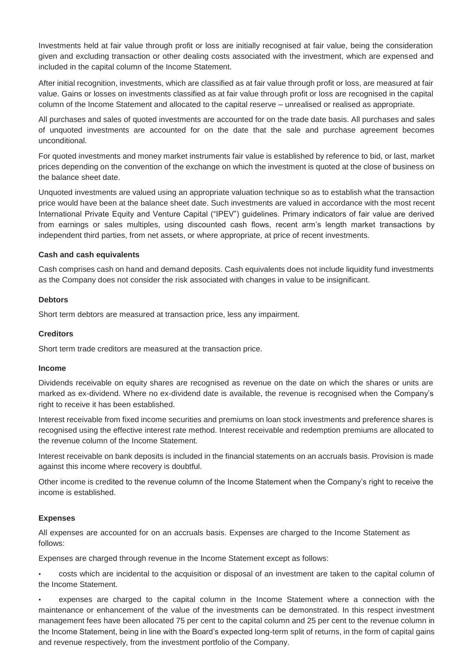Investments held at fair value through profit or loss are initially recognised at fair value, being the consideration given and excluding transaction or other dealing costs associated with the investment, which are expensed and included in the capital column of the Income Statement.

After initial recognition, investments, which are classified as at fair value through profit or loss, are measured at fair value. Gains or losses on investments classified as at fair value through profit or loss are recognised in the capital column of the Income Statement and allocated to the capital reserve – unrealised or realised as appropriate.

All purchases and sales of quoted investments are accounted for on the trade date basis. All purchases and sales of unquoted investments are accounted for on the date that the sale and purchase agreement becomes unconditional.

For quoted investments and money market instruments fair value is established by reference to bid, or last, market prices depending on the convention of the exchange on which the investment is quoted at the close of business on the balance sheet date.

Unquoted investments are valued using an appropriate valuation technique so as to establish what the transaction price would have been at the balance sheet date. Such investments are valued in accordance with the most recent International Private Equity and Venture Capital ("IPEV") guidelines. Primary indicators of fair value are derived from earnings or sales multiples, using discounted cash flows, recent arm's length market transactions by independent third parties, from net assets, or where appropriate, at price of recent investments.

## **Cash and cash equivalents**

Cash comprises cash on hand and demand deposits. Cash equivalents does not include liquidity fund investments as the Company does not consider the risk associated with changes in value to be insignificant.

#### **Debtors**

Short term debtors are measured at transaction price, less any impairment.

#### **Creditors**

Short term trade creditors are measured at the transaction price.

#### **Income**

Dividends receivable on equity shares are recognised as revenue on the date on which the shares or units are marked as ex-dividend. Where no ex-dividend date is available, the revenue is recognised when the Company's right to receive it has been established.

Interest receivable from fixed income securities and premiums on loan stock investments and preference shares is recognised using the effective interest rate method. Interest receivable and redemption premiums are allocated to the revenue column of the Income Statement.

Interest receivable on bank deposits is included in the financial statements on an accruals basis. Provision is made against this income where recovery is doubtful.

Other income is credited to the revenue column of the Income Statement when the Company's right to receive the income is established.

## **Expenses**

All expenses are accounted for on an accruals basis. Expenses are charged to the Income Statement as follows:

Expenses are charged through revenue in the Income Statement except as follows:

• costs which are incidental to the acquisition or disposal of an investment are taken to the capital column of the Income Statement.

• expenses are charged to the capital column in the Income Statement where a connection with the maintenance or enhancement of the value of the investments can be demonstrated. In this respect investment management fees have been allocated 75 per cent to the capital column and 25 per cent to the revenue column in the Income Statement, being in line with the Board's expected long-term split of returns, in the form of capital gains and revenue respectively, from the investment portfolio of the Company.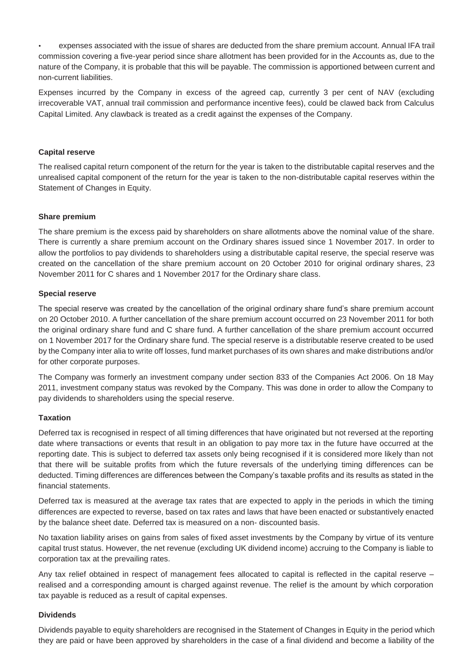• expenses associated with the issue of shares are deducted from the share premium account. Annual IFA trail commission covering a five-year period since share allotment has been provided for in the Accounts as, due to the nature of the Company, it is probable that this will be payable. The commission is apportioned between current and non-current liabilities.

Expenses incurred by the Company in excess of the agreed cap, currently 3 per cent of NAV (excluding irrecoverable VAT, annual trail commission and performance incentive fees), could be clawed back from Calculus Capital Limited. Any clawback is treated as a credit against the expenses of the Company.

#### **Capital reserve**

The realised capital return component of the return for the year is taken to the distributable capital reserves and the unrealised capital component of the return for the year is taken to the non-distributable capital reserves within the Statement of Changes in Equity.

#### **Share premium**

The share premium is the excess paid by shareholders on share allotments above the nominal value of the share. There is currently a share premium account on the Ordinary shares issued since 1 November 2017. In order to allow the portfolios to pay dividends to shareholders using a distributable capital reserve, the special reserve was created on the cancellation of the share premium account on 20 October 2010 for original ordinary shares, 23 November 2011 for C shares and 1 November 2017 for the Ordinary share class.

#### **Special reserve**

The special reserve was created by the cancellation of the original ordinary share fund's share premium account on 20 October 2010. A further cancellation of the share premium account occurred on 23 November 2011 for both the original ordinary share fund and C share fund. A further cancellation of the share premium account occurred on 1 November 2017 for the Ordinary share fund. The special reserve is a distributable reserve created to be used by the Company inter alia to write off losses, fund market purchases of its own shares and make distributions and/or for other corporate purposes.

The Company was formerly an investment company under section 833 of the Companies Act 2006. On 18 May 2011, investment company status was revoked by the Company. This was done in order to allow the Company to pay dividends to shareholders using the special reserve.

#### **Taxation**

Deferred tax is recognised in respect of all timing differences that have originated but not reversed at the reporting date where transactions or events that result in an obligation to pay more tax in the future have occurred at the reporting date. This is subject to deferred tax assets only being recognised if it is considered more likely than not that there will be suitable profits from which the future reversals of the underlying timing differences can be deducted. Timing differences are differences between the Company's taxable profits and its results as stated in the financial statements.

Deferred tax is measured at the average tax rates that are expected to apply in the periods in which the timing differences are expected to reverse, based on tax rates and laws that have been enacted or substantively enacted by the balance sheet date. Deferred tax is measured on a non- discounted basis.

No taxation liability arises on gains from sales of fixed asset investments by the Company by virtue of its venture capital trust status. However, the net revenue (excluding UK dividend income) accruing to the Company is liable to corporation tax at the prevailing rates.

Any tax relief obtained in respect of management fees allocated to capital is reflected in the capital reserve – realised and a corresponding amount is charged against revenue. The relief is the amount by which corporation tax payable is reduced as a result of capital expenses.

## **Dividends**

Dividends payable to equity shareholders are recognised in the Statement of Changes in Equity in the period which they are paid or have been approved by shareholders in the case of a final dividend and become a liability of the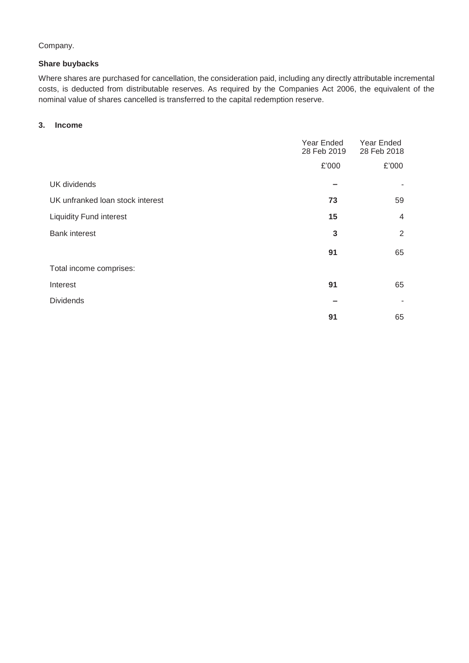# Company.

## **Share buybacks**

Where shares are purchased for cancellation, the consideration paid, including any directly attributable incremental costs, is deducted from distributable reserves. As required by the Companies Act 2006, the equivalent of the nominal value of shares cancelled is transferred to the capital redemption reserve.

# **3. Income**

|                                  | Year Ended<br>28 Feb 2019 | Year Ended<br>28 Feb 2018 |
|----------------------------------|---------------------------|---------------------------|
|                                  | £'000                     | £'000                     |
| <b>UK</b> dividends              |                           |                           |
| UK unfranked loan stock interest | 73                        | 59                        |
| <b>Liquidity Fund interest</b>   | 15                        | $\overline{4}$            |
| <b>Bank interest</b>             | 3                         | 2                         |
|                                  | 91                        | 65                        |
| Total income comprises:          |                           |                           |
| Interest                         | 91                        | 65                        |
| <b>Dividends</b>                 |                           |                           |
|                                  | 91                        | 65                        |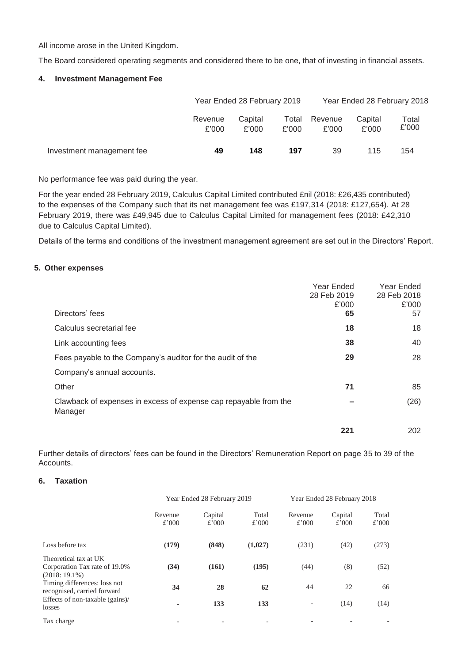All income arose in the United Kingdom.

The Board considered operating segments and considered there to be one, that of investing in financial assets.

## **4. Investment Management Fee**

|                           |                  | Year Ended 28 February 2019 |                |                  | Year Ended 28 February 2018 |                |  |
|---------------------------|------------------|-----------------------------|----------------|------------------|-----------------------------|----------------|--|
|                           | Revenue<br>£'000 | Capital<br>£'000            | Total<br>£'000 | Revenue<br>£'000 | Capital<br>£'000            | Total<br>£'000 |  |
| Investment management fee | 49               | 148                         | 197            | 39               | 115                         | 154            |  |

No performance fee was paid during the year.

For the year ended 28 February 2019, Calculus Capital Limited contributed £nil (2018: £26,435 contributed) to the expenses of the Company such that its net management fee was £197,314 (2018: £127,654). At 28 February 2019, there was £49,945 due to Calculus Capital Limited for management fees (2018: £42,310 due to Calculus Capital Limited).

Details of the terms and conditions of the investment management agreement are set out in the Directors' Report.

#### **5. Other expenses**

|                                                                             | Year Ended<br>28 Feb 2019<br>£'000 | Year Ended<br>28 Feb 2018<br>£'000 |
|-----------------------------------------------------------------------------|------------------------------------|------------------------------------|
| Directors' fees                                                             | 65                                 | 57                                 |
| Calculus secretarial fee                                                    | 18                                 | 18                                 |
| Link accounting fees                                                        | 38                                 | 40                                 |
| Fees payable to the Company's auditor for the audit of the                  | 29                                 | 28                                 |
| Company's annual accounts.                                                  |                                    |                                    |
| Other                                                                       | 71                                 | 85                                 |
| Clawback of expenses in excess of expense cap repayable from the<br>Manager |                                    | (26)                               |
|                                                                             | 221                                | 202                                |

Further details of directors' fees can be found in the Directors' Remuneration Report on page 35 to 39 of the **Accounts** 

# **6. Taxation**

|                                                                           | Year Ended 28 February 2019 |                  |                | Year Ended 28 February 2018 |                  |                |
|---------------------------------------------------------------------------|-----------------------------|------------------|----------------|-----------------------------|------------------|----------------|
|                                                                           | Revenue<br>£'000            | Capital<br>£'000 | Total<br>£'000 | Revenue<br>£'000            | Capital<br>£'000 | Total<br>£'000 |
| Loss before tax                                                           | (179)                       | (848)            | (1,027)        | (231)                       | (42)             | (273)          |
| Theoretical tax at UK<br>Corporation Tax rate of 19.0%<br>$(2018:19.1\%)$ | (34)                        | (161)            | (195)          | (44)                        | (8)              | (52)           |
| Timing differences: loss not<br>recognised, carried forward               | 34                          | 28               | 62             | 44                          | 22               | 66             |
| Effects of non-taxable (gains)/<br>losses                                 |                             | 133              | 133            | $\overline{\phantom{a}}$    | (14)             | (14)           |
| Tax charge                                                                |                             |                  |                |                             |                  |                |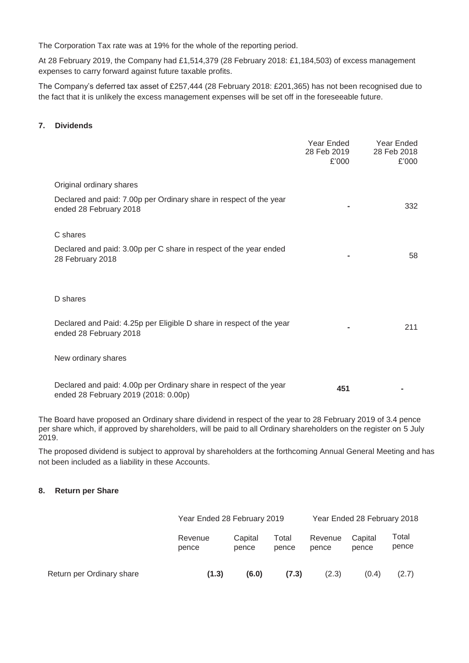The Corporation Tax rate was at 19% for the whole of the reporting period.

At 28 February 2019, the Company had £1,514,379 (28 February 2018: £1,184,503) of excess management expenses to carry forward against future taxable profits.

The Company's deferred tax asset of £257,444 (28 February 2018: £201,365) has not been recognised due to the fact that it is unlikely the excess management expenses will be set off in the foreseeable future.

#### **7. Dividends**

|                                                                                                            | Year Ended<br>28 Feb 2019<br>£'000 | Year Ended<br>28 Feb 2018<br>£'000 |
|------------------------------------------------------------------------------------------------------------|------------------------------------|------------------------------------|
| Original ordinary shares                                                                                   |                                    |                                    |
| Declared and paid: 7.00p per Ordinary share in respect of the year<br>ended 28 February 2018               |                                    | 332                                |
| C shares                                                                                                   |                                    |                                    |
| Declared and paid: 3.00p per C share in respect of the year ended<br>28 February 2018                      |                                    | 58                                 |
|                                                                                                            |                                    |                                    |
| D shares                                                                                                   |                                    |                                    |
| Declared and Paid: 4.25p per Eligible D share in respect of the year<br>ended 28 February 2018             |                                    | 211                                |
| New ordinary shares                                                                                        |                                    |                                    |
| Declared and paid: 4.00p per Ordinary share in respect of the year<br>ended 28 February 2019 (2018: 0.00p) | 451                                |                                    |

The Board have proposed an Ordinary share dividend in respect of the year to 28 February 2019 of 3.4 pence per share which, if approved by shareholders, will be paid to all Ordinary shareholders on the register on 5 July 2019.

The proposed dividend is subject to approval by shareholders at the forthcoming Annual General Meeting and has not been included as a liability in these Accounts.

## **8. Return per Share**

|                           | Year Ended 28 February 2019 |                  | Year Ended 28 February 2018 |                  |                  |                |
|---------------------------|-----------------------------|------------------|-----------------------------|------------------|------------------|----------------|
|                           | Revenue<br>pence            | Capital<br>pence | Total<br>pence              | Revenue<br>pence | Capital<br>pence | Total<br>pence |
| Return per Ordinary share | (1.3)                       | (6.0)            | (7.3)                       | (2.3)            | (0.4)            | (2.7)          |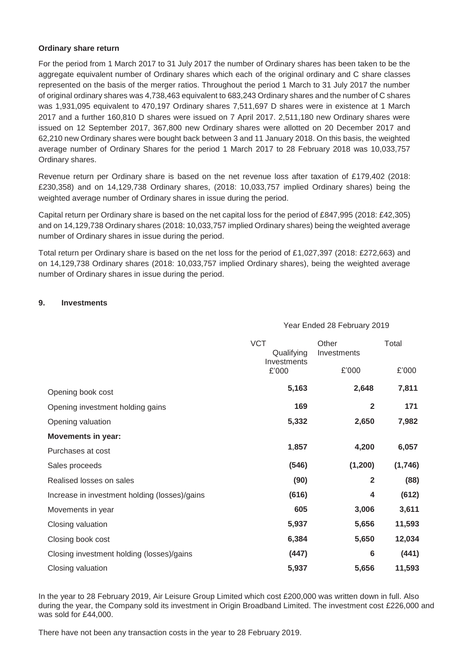#### **Ordinary share return**

For the period from 1 March 2017 to 31 July 2017 the number of Ordinary shares has been taken to be the aggregate equivalent number of Ordinary shares which each of the original ordinary and C share classes represented on the basis of the merger ratios. Throughout the period 1 March to 31 July 2017 the number of original ordinary shares was 4,738,463 equivalent to 683,243 Ordinary shares and the number of C shares was 1,931,095 equivalent to 470,197 Ordinary shares 7,511,697 D shares were in existence at 1 March 2017 and a further 160,810 D shares were issued on 7 April 2017. 2,511,180 new Ordinary shares were issued on 12 September 2017, 367,800 new Ordinary shares were allotted on 20 December 2017 and 62,210 new Ordinary shares were bought back between 3 and 11 January 2018. On this basis, the weighted average number of Ordinary Shares for the period 1 March 2017 to 28 February 2018 was 10,033,757 Ordinary shares.

Revenue return per Ordinary share is based on the net revenue loss after taxation of £179,402 (2018: £230,358) and on 14,129,738 Ordinary shares, (2018: 10,033,757 implied Ordinary shares) being the weighted average number of Ordinary shares in issue during the period.

Capital return per Ordinary share is based on the net capital loss for the period of £847,995 (2018: £42,305) and on 14,129,738 Ordinary shares (2018: 10,033,757 implied Ordinary shares) being the weighted average number of Ordinary shares in issue during the period.

Total return per Ordinary share is based on the net loss for the period of £1,027,397 (2018: £272,663) and on 14,129,738 Ordinary shares (2018: 10,033,757 implied Ordinary shares), being the weighted average number of Ordinary shares in issue during the period.

#### **9. Investments**

|                                               | <b>VCT</b><br>Qualifying<br>Investments | Other<br>Investments | Total   |
|-----------------------------------------------|-----------------------------------------|----------------------|---------|
|                                               | £'000                                   | £'000                | £'000   |
| Opening book cost                             | 5,163                                   | 2,648                | 7,811   |
| Opening investment holding gains              | 169                                     | $\overline{2}$       | 171     |
| Opening valuation                             | 5,332                                   | 2,650                | 7,982   |
| <b>Movements in year:</b>                     |                                         |                      |         |
| Purchases at cost                             | 1,857                                   | 4,200                | 6,057   |
| Sales proceeds                                | (546)                                   | (1,200)              | (1,746) |
| Realised losses on sales                      | (90)                                    | $\overline{2}$       | (88)    |
| Increase in investment holding (losses)/gains | (616)                                   | 4                    | (612)   |
| Movements in year                             | 605                                     | 3,006                | 3,611   |
| Closing valuation                             | 5,937                                   | 5,656                | 11,593  |
| Closing book cost                             | 6,384                                   | 5,650                | 12,034  |
| Closing investment holding (losses)/gains     | (447)                                   | $6\phantom{1}6$      | (441)   |
| Closing valuation                             | 5,937                                   | 5,656                | 11,593  |

In the year to 28 February 2019, Air Leisure Group Limited which cost £200,000 was written down in full. Also during the year, the Company sold its investment in Origin Broadband Limited. The investment cost £226,000 and was sold for £44,000.

There have not been any transaction costs in the year to 28 February 2019.

# Year Ended 28 February 2019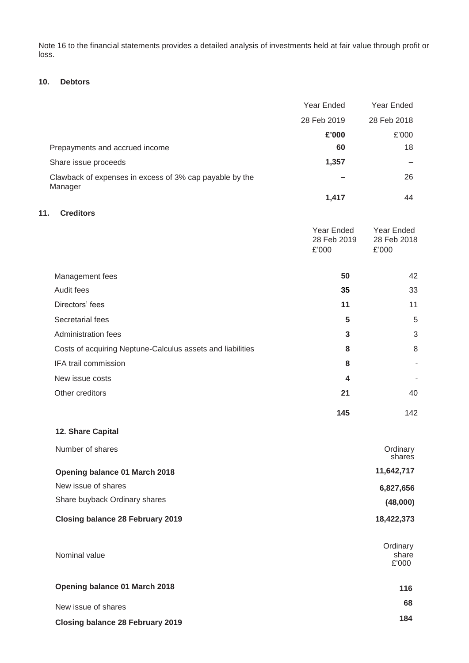Note 16 to the financial statements provides a detailed analysis of investments held at fair value through profit or loss.

# **10. Debtors**

|                                                                    | Year Ended                         | Year Ended                         |
|--------------------------------------------------------------------|------------------------------------|------------------------------------|
|                                                                    | 28 Feb 2019                        | 28 Feb 2018                        |
|                                                                    | £'000                              | £'000                              |
| Prepayments and accrued income                                     | 60                                 | 18                                 |
| Share issue proceeds                                               | 1,357                              |                                    |
| Clawback of expenses in excess of 3% cap payable by the<br>Manager |                                    | 26                                 |
|                                                                    | 1,417                              | 44                                 |
| <b>Creditors</b><br>11.                                            |                                    |                                    |
|                                                                    | Year Ended<br>28 Feb 2019<br>£'000 | Year Ended<br>28 Feb 2018<br>£'000 |
| Management fees                                                    | 50                                 | 42                                 |
| Audit fees                                                         | 35                                 | 33                                 |
| Directors' fees                                                    | 11                                 | 11                                 |
| Secretarial fees                                                   | 5                                  | 5                                  |
| <b>Administration fees</b>                                         | 3                                  | 3                                  |
| Costs of acquiring Neptune-Calculus assets and liabilities         | 8                                  | 8                                  |
| IFA trail commission                                               | 8                                  |                                    |
| New issue costs                                                    | 4                                  |                                    |
| Other creditors                                                    | 21                                 | 40                                 |
|                                                                    | 145                                | 142                                |
| 12. Share Capital                                                  |                                    |                                    |
| Number of shares                                                   |                                    | Ordinary<br>shares                 |
| Opening balance 01 March 2018                                      |                                    | 11,642,717                         |
| New issue of shares                                                |                                    | 6,827,656                          |
| Share buyback Ordinary shares                                      |                                    | (48,000)                           |
| <b>Closing balance 28 February 2019</b>                            |                                    | 18,422,373                         |
| Nominal value                                                      |                                    | Ordinary<br>share<br>£'000         |
| Opening balance 01 March 2018                                      |                                    | 116                                |
| New issue of shares                                                |                                    | 68                                 |
| <b>Closing balance 28 February 2019</b>                            |                                    | 184                                |
|                                                                    |                                    |                                    |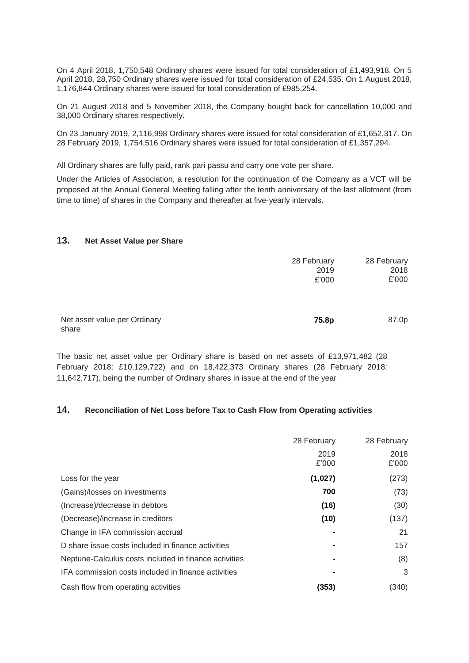On 4 April 2018, 1,750,548 Ordinary shares were issued for total consideration of £1,493,918. On 5 April 2018, 28,750 Ordinary shares were issued for total consideration of £24,535. On 1 August 2018, 1,176,844 Ordinary shares were issued for total consideration of £985,254.

On 21 August 2018 and 5 November 2018, the Company bought back for cancellation 10,000 and 38,000 Ordinary shares respectively.

On 23 January 2019, 2,116,998 Ordinary shares were issued for total consideration of £1,652,317. On 28 February 2019, 1,754,516 Ordinary shares were issued for total consideration of £1,357,294.

All Ordinary shares are fully paid, rank pari passu and carry one vote per share.

Under the Articles of Association, a resolution for the continuation of the Company as a VCT will be proposed at the Annual General Meeting falling after the tenth anniversary of the last allotment (from time to time) of shares in the Company and thereafter at five-yearly intervals.

#### **13. Net Asset Value per Share**

|                                       | 28 February<br>2019<br>£'000 | 28 February<br>2018<br>£'000 |
|---------------------------------------|------------------------------|------------------------------|
| Net asset value per Ordinary<br>share | 75.8p                        | 87.0p                        |

The basic net asset value per Ordinary share is based on net assets of £13,971,482 (28 February 2018: £10,129,722) and on 18,422,373 Ordinary shares (28 February 2018: 11,642,717), being the number of Ordinary shares in issue at the end of the year

# **14. Reconciliation of Net Loss before Tax to Cash Flow from Operating activities**

|                                                       | 28 February   | 28 February   |
|-------------------------------------------------------|---------------|---------------|
|                                                       | 2019<br>£'000 | 2018<br>£'000 |
| Loss for the year                                     | (1,027)       | (273)         |
| (Gains)/losses on investments                         | 700           | (73)          |
| (Increase)/decrease in debtors                        | (16)          | (30)          |
| (Decrease)/increase in creditors                      | (10)          | (137)         |
| Change in IFA commission accrual                      |               | 21            |
| D share issue costs included in finance activities    |               | 157           |
| Neptune-Calculus costs included in finance activities |               | (8)           |
| IFA commission costs included in finance activities   |               | 3             |
| Cash flow from operating activities                   | (353)         | (340)         |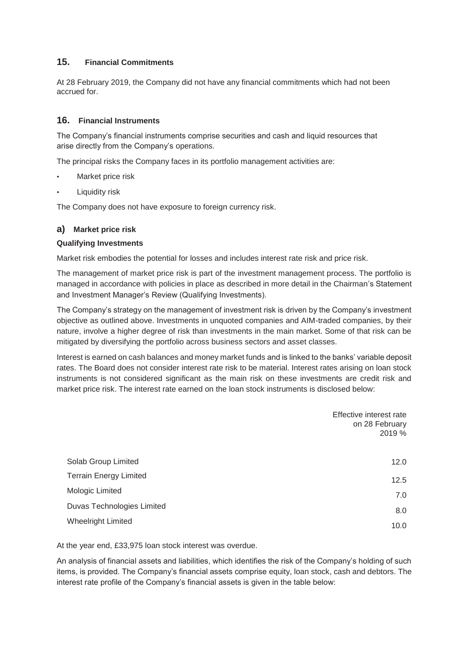# **15. Financial Commitments**

At 28 February 2019, the Company did not have any financial commitments which had not been accrued for.

# **16. Financial Instruments**

The Company's financial instruments comprise securities and cash and liquid resources that arise directly from the Company's operations.

The principal risks the Company faces in its portfolio management activities are:

- Market price risk
- **Liquidity risk**

The Company does not have exposure to foreign currency risk.

#### **a) Market price risk**

#### **Qualifying Investments**

Market risk embodies the potential for losses and includes interest rate risk and price risk.

The management of market price risk is part of the investment management process. The portfolio is managed in accordance with policies in place as described in more detail in the Chairman's Statement and Investment Manager's Review (Qualifying Investments).

The Company's strategy on the management of investment risk is driven by the Company's investment objective as outlined above. Investments in unquoted companies and AIM-traded companies, by their nature, involve a higher degree of risk than investments in the main market. Some of that risk can be mitigated by diversifying the portfolio across business sectors and asset classes.

Interest is earned on cash balances and money market funds and is linked to the banks' variable deposit rates. The Board does not consider interest rate risk to be material. Interest rates arising on loan stock instruments is not considered significant as the main risk on these investments are credit risk and market price risk. The interest rate earned on the loan stock instruments is disclosed below:

|                               | Effective interest rate<br>on 28 February<br>2019 % |
|-------------------------------|-----------------------------------------------------|
| Solab Group Limited           | 12.0                                                |
| <b>Terrain Energy Limited</b> | 12.5                                                |
| Mologic Limited               | 7.0                                                 |
| Duvas Technologies Limited    | 8.0                                                 |
| <b>Wheelright Limited</b>     | 10.0                                                |

At the year end, £33,975 loan stock interest was overdue.

An analysis of financial assets and liabilities, which identifies the risk of the Company's holding of such items, is provided. The Company's financial assets comprise equity, loan stock, cash and debtors. The interest rate profile of the Company's financial assets is given in the table below: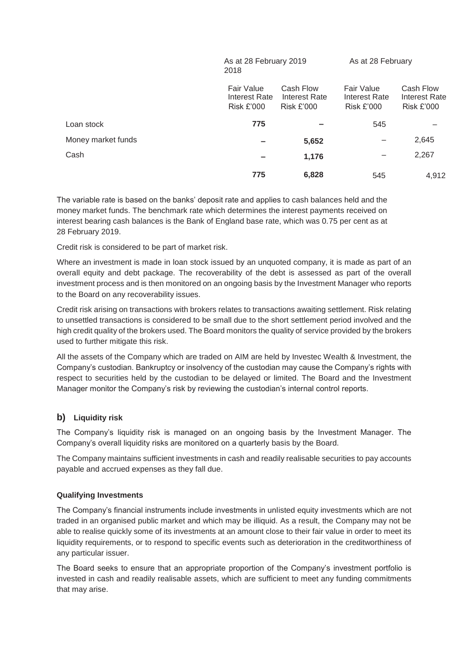|                    | $10 u L$ $\sigma$ $1 v$ $\sigma$ $\sigma$ $\sigma$ $\sigma$<br>2018 |                                                 | $\frac{1}{2}$                                    |                                                        |
|--------------------|---------------------------------------------------------------------|-------------------------------------------------|--------------------------------------------------|--------------------------------------------------------|
|                    | Fair Value<br>Interest Rate<br><b>Risk £'000</b>                    | Cash Flow<br>Interest Rate<br><b>Risk £'000</b> | Fair Value<br>Interest Rate<br><b>Risk £'000</b> | Cash Flow<br><b>Interest Rate</b><br><b>Risk £'000</b> |
| Loan stock         | 775                                                                 |                                                 | 545                                              |                                                        |
| Money market funds |                                                                     | 5,652                                           |                                                  | 2,645                                                  |
| Cash               |                                                                     | 1,176                                           |                                                  | 2,267                                                  |
|                    | 775                                                                 | 6,828                                           | 545                                              | 4,912                                                  |

As at 28 February 2019 As at 28 February

The variable rate is based on the banks' deposit rate and applies to cash balances held and the money market funds. The benchmark rate which determines the interest payments received on interest bearing cash balances is the Bank of England base rate, which was 0.75 per cent as at 28 February 2019.

Credit risk is considered to be part of market risk.

Where an investment is made in loan stock issued by an unquoted company, it is made as part of an overall equity and debt package. The recoverability of the debt is assessed as part of the overall investment process and is then monitored on an ongoing basis by the Investment Manager who reports to the Board on any recoverability issues.

Credit risk arising on transactions with brokers relates to transactions awaiting settlement. Risk relating to unsettled transactions is considered to be small due to the short settlement period involved and the high credit quality of the brokers used. The Board monitors the quality of service provided by the brokers used to further mitigate this risk.

All the assets of the Company which are traded on AIM are held by Investec Wealth & Investment, the Company's custodian. Bankruptcy or insolvency of the custodian may cause the Company's rights with respect to securities held by the custodian to be delayed or limited. The Board and the Investment Manager monitor the Company's risk by reviewing the custodian's internal control reports.

# **b) Liquidity risk**

The Company's liquidity risk is managed on an ongoing basis by the Investment Manager. The Company's overall liquidity risks are monitored on a quarterly basis by the Board.

The Company maintains sufficient investments in cash and readily realisable securities to pay accounts payable and accrued expenses as they fall due.

## **Qualifying Investments**

The Company's financial instruments include investments in unlisted equity investments which are not traded in an organised public market and which may be illiquid. As a result, the Company may not be able to realise quickly some of its investments at an amount close to their fair value in order to meet its liquidity requirements, or to respond to specific events such as deterioration in the creditworthiness of any particular issuer.

The Board seeks to ensure that an appropriate proportion of the Company's investment portfolio is invested in cash and readily realisable assets, which are sufficient to meet any funding commitments that may arise.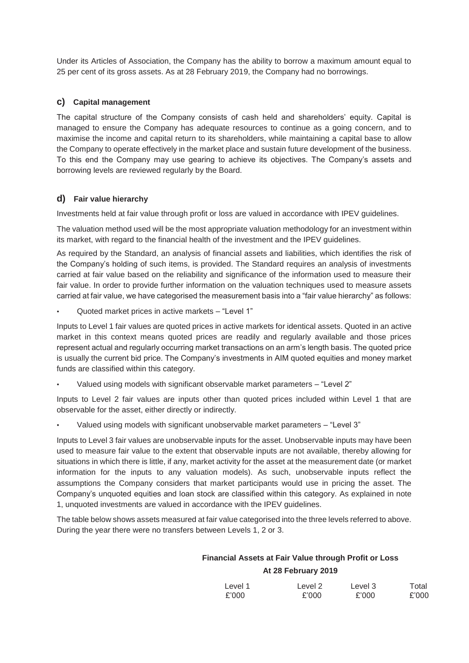Under its Articles of Association, the Company has the ability to borrow a maximum amount equal to 25 per cent of its gross assets. As at 28 February 2019, the Company had no borrowings.

# **c) Capital management**

The capital structure of the Company consists of cash held and shareholders' equity. Capital is managed to ensure the Company has adequate resources to continue as a going concern, and to maximise the income and capital return to its shareholders, while maintaining a capital base to allow the Company to operate effectively in the market place and sustain future development of the business. To this end the Company may use gearing to achieve its objectives. The Company's assets and borrowing levels are reviewed regularly by the Board.

# **d) Fair value hierarchy**

Investments held at fair value through profit or loss are valued in accordance with IPEV guidelines.

The valuation method used will be the most appropriate valuation methodology for an investment within its market, with regard to the financial health of the investment and the IPEV guidelines.

As required by the Standard, an analysis of financial assets and liabilities, which identifies the risk of the Company's holding of such items, is provided. The Standard requires an analysis of investments carried at fair value based on the reliability and significance of the information used to measure their fair value. In order to provide further information on the valuation techniques used to measure assets carried at fair value, we have categorised the measurement basis into a "fair value hierarchy" as follows:

• Quoted market prices in active markets – "Level 1"

Inputs to Level 1 fair values are quoted prices in active markets for identical assets. Quoted in an active market in this context means quoted prices are readily and regularly available and those prices represent actual and regularly occurring market transactions on an arm's length basis. The quoted price is usually the current bid price. The Company's investments in AIM quoted equities and money market funds are classified within this category.

• Valued using models with significant observable market parameters – "Level 2"

Inputs to Level 2 fair values are inputs other than quoted prices included within Level 1 that are observable for the asset, either directly or indirectly.

• Valued using models with significant unobservable market parameters – "Level 3"

Inputs to Level 3 fair values are unobservable inputs for the asset. Unobservable inputs may have been used to measure fair value to the extent that observable inputs are not available, thereby allowing for situations in which there is little, if any, market activity for the asset at the measurement date (or market information for the inputs to any valuation models). As such, unobservable inputs reflect the assumptions the Company considers that market participants would use in pricing the asset. The Company's unquoted equities and loan stock are classified within this category. As explained in note 1, unquoted investments are valued in accordance with the IPEV guidelines.

The table below shows assets measured at fair value categorised into the three levels referred to above. During the year there were no transfers between Levels 1, 2 or 3.

# **Financial Assets at Fair Value through Profit or Loss At 28 February 2019**

| Level 1 | Level 2 | Level 3 | Total |
|---------|---------|---------|-------|
| £'000   | £'000   | £'000   | £'000 |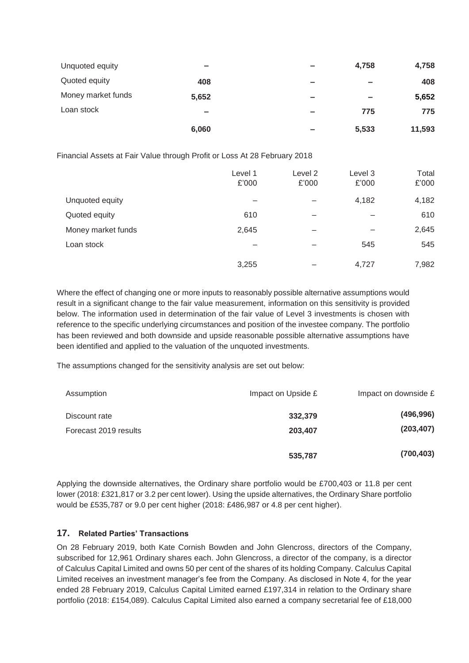| Unquoted equity    | $\equiv$ | $\equiv$ | 4,758                    | 4,758  |
|--------------------|----------|----------|--------------------------|--------|
| Quoted equity      | 408      | $\equiv$ | $\equiv$                 | 408    |
| Money market funds | 5,652    | $\equiv$ | $\overline{\phantom{a}}$ | 5,652  |
| Loan stock         | $\equiv$ | $\equiv$ | 775                      | 775    |
|                    | 6,060    | -        | 5,533                    | 11,593 |

Financial Assets at Fair Value through Profit or Loss At 28 February 2018

|                    | Level 1<br>£'000 | Level 2<br>£'000 | Level 3<br>£'000 | Total<br>£'000 |
|--------------------|------------------|------------------|------------------|----------------|
| Unquoted equity    |                  |                  | 4,182            | 4,182          |
| Quoted equity      | 610              | -                |                  | 610            |
| Money market funds | 2,645            |                  |                  | 2,645          |
| Loan stock         |                  |                  | 545              | 545            |
|                    | 3,255            |                  | 4,727            | 7,982          |

Where the effect of changing one or more inputs to reasonably possible alternative assumptions would result in a significant change to the fair value measurement, information on this sensitivity is provided below. The information used in determination of the fair value of Level 3 investments is chosen with reference to the specific underlying circumstances and position of the investee company. The portfolio has been reviewed and both downside and upside reasonable possible alternative assumptions have been identified and applied to the valuation of the unquoted investments.

The assumptions changed for the sensitivity analysis are set out below:

| Assumption            | Impact on Upside £ | Impact on downside £ |
|-----------------------|--------------------|----------------------|
| Discount rate         | 332,379            | (496, 996)           |
| Forecast 2019 results | 203,407            | (203, 407)           |
|                       | 535,787            | (700, 403)           |

Applying the downside alternatives, the Ordinary share portfolio would be £700,403 or 11.8 per cent lower (2018: £321,817 or 3.2 per cent lower). Using the upside alternatives, the Ordinary Share portfolio would be £535,787 or 9.0 per cent higher (2018: £486,987 or 4.8 per cent higher).

# **17. Related Parties' Transactions**

On 28 February 2019, both Kate Cornish Bowden and John Glencross, directors of the Company, subscribed for 12,961 Ordinary shares each. John Glencross, a director of the company, is a director of Calculus Capital Limited and owns 50 per cent of the shares of its holding Company. Calculus Capital Limited receives an investment manager's fee from the Company. As disclosed in Note 4, for the year ended 28 February 2019, Calculus Capital Limited earned £197,314 in relation to the Ordinary share portfolio (2018: £154,089). Calculus Capital Limited also earned a company secretarial fee of £18,000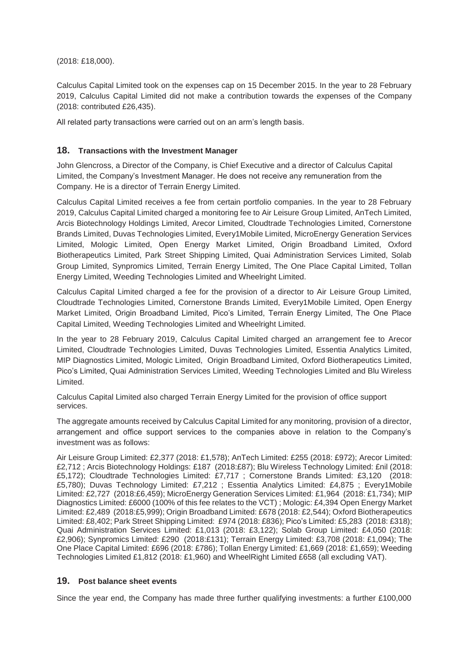(2018: £18,000).

Calculus Capital Limited took on the expenses cap on 15 December 2015. In the year to 28 February 2019, Calculus Capital Limited did not make a contribution towards the expenses of the Company (2018: contributed £26,435).

All related party transactions were carried out on an arm's length basis.

# **18. Transactions with the Investment Manager**

John Glencross, a Director of the Company, is Chief Executive and a director of Calculus Capital Limited, the Company's Investment Manager. He does not receive any remuneration from the Company. He is a director of Terrain Energy Limited.

Calculus Capital Limited receives a fee from certain portfolio companies. In the year to 28 February 2019, Calculus Capital Limited charged a monitoring fee to Air Leisure Group Limited, AnTech Limited, Arcis Biotechnology Holdings Limited, Arecor Limited, Cloudtrade Technologies Limited, Cornerstone Brands Limited, Duvas Technologies Limited, Every1Mobile Limited, MicroEnergy Generation Services Limited, Mologic Limited, Open Energy Market Limited, Origin Broadband Limited, Oxford Biotherapeutics Limited, Park Street Shipping Limited, Quai Administration Services Limited, Solab Group Limited, Synpromics Limited, Terrain Energy Limited, The One Place Capital Limited, Tollan Energy Limited, Weeding Technologies Limited and Wheelright Limited.

Calculus Capital Limited charged a fee for the provision of a director to Air Leisure Group Limited, Cloudtrade Technologies Limited, Cornerstone Brands Limited, Every1Mobile Limited, Open Energy Market Limited, Origin Broadband Limited, Pico's Limited, Terrain Energy Limited, The One Place Capital Limited, Weeding Technologies Limited and Wheelright Limited.

In the year to 28 February 2019, Calculus Capital Limited charged an arrangement fee to Arecor Limited, Cloudtrade Technologies Limited, Duvas Technologies Limited, Essentia Analytics Limited, MIP Diagnostics Limited, Mologic Limited, Origin Broadband Limited, Oxford Biotherapeutics Limited, Pico's Limited, Quai Administration Services Limited, Weeding Technologies Limited and Blu Wireless Limited.

Calculus Capital Limited also charged Terrain Energy Limited for the provision of office support services.

The aggregate amounts received by Calculus Capital Limited for any monitoring, provision of a director, arrangement and office support services to the companies above in relation to the Company's investment was as follows:

Air Leisure Group Limited: £2,377 (2018: £1,578); AnTech Limited: £255 (2018: £972); Arecor Limited: £2,712 ; Arcis Biotechnology Holdings: £187 (2018:£87); Blu Wireless Technology Limited: £nil (2018: £5,172); Cloudtrade Technologies Limited: £7,717 ; Cornerstone Brands Limited: £3,120 (2018: £5,780); Duvas Technology Limited: £7,212 ; Essentia Analytics Limited: £4,875 ; Every1Mobile Limited: £2,727 (2018:£6,459); MicroEnergy Generation Services Limited: £1,964 (2018: £1,734); MIP Diagnostics Limited: £6000 (100% of this fee relates to the VCT) ; Mologic: £4,394 Open Energy Market Limited: £2,489 (2018:£5,999); Origin Broadband Limited: £678 (2018: £2,544); Oxford Biotherapeutics Limited: £8,402; Park Street Shipping Limited: £974 (2018: £836); Pico's Limited: £5,283 (2018: £318); Quai Administration Services Limited: £1,013 (2018: £3,122); Solab Group Limited: £4,050 (2018: £2,906); Synpromics Limited: £290 (2018:£131); Terrain Energy Limited: £3,708 (2018: £1,094); The One Place Capital Limited: £696 (2018: £786); Tollan Energy Limited: £1,669 (2018: £1,659); Weeding Technologies Limited £1,812 (2018: £1,960) and WheelRight Limited £658 (all excluding VAT).

## **19. Post balance sheet events**

Since the year end, the Company has made three further qualifying investments: a further £100,000